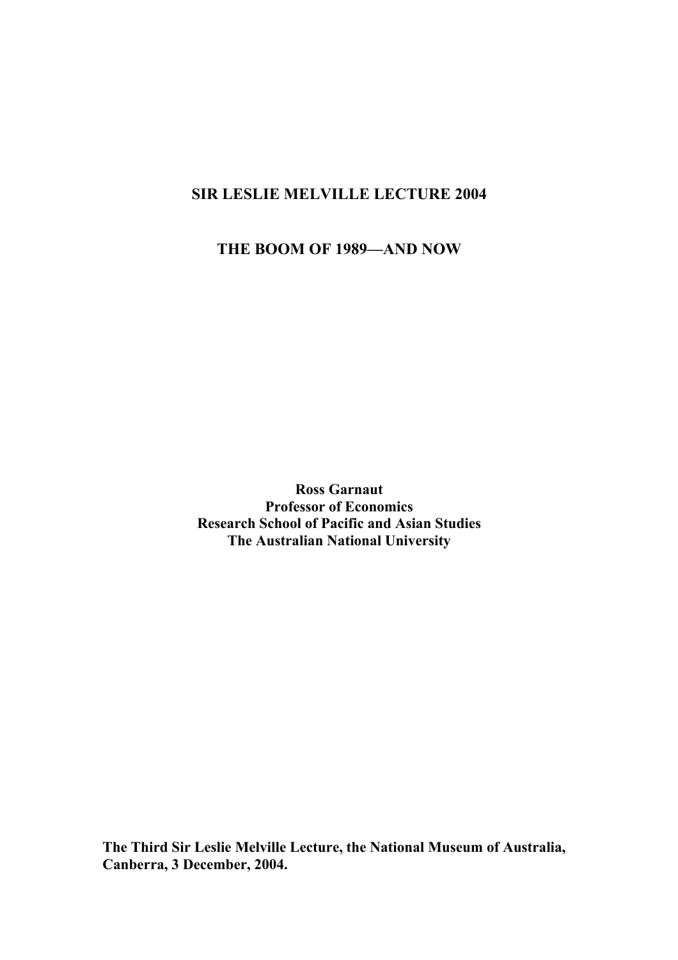### **SIR LESLIE MELVILLE LECTURE 2004**

**THE BOOM OF 1989—AND NOW** 

**Ross Garnaut Professor of Economics Research School of Pacific and Asian Studies The Australian National University** 

**The Third Sir Leslie Melville Lecture, the National Museum of Australia, Canberra, 3 December, 2004.**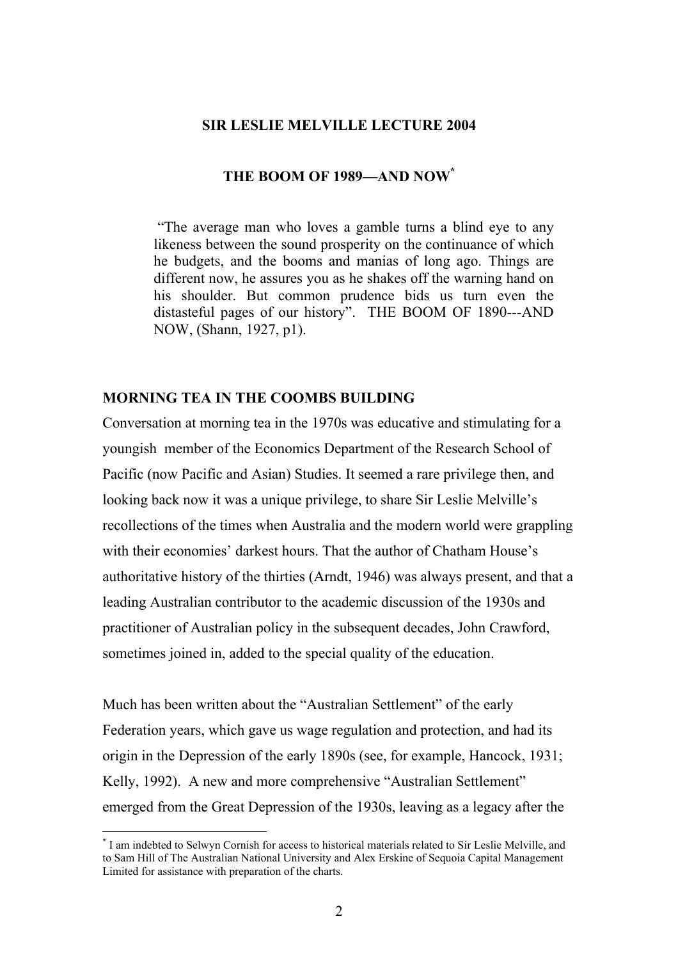#### **SIR LESLIE MELVILLE LECTURE 2004**

#### **THE BOOM OF 1989—AND NO[W\\*](#page-1-0)**

"The average man who loves a gamble turns a blind eye to any likeness between the sound prosperity on the continuance of which he budgets, and the booms and manias of long ago. Things are different now, he assures you as he shakes off the warning hand on his shoulder. But common prudence bids us turn even the distasteful pages of our history". THE BOOM OF 1890---AND NOW, (Shann, 1927, p1).

#### **MORNING TEA IN THE COOMBS BUILDING**

Conversation at morning tea in the 1970s was educative and stimulating for a youngish member of the Economics Department of the Research School of Pacific (now Pacific and Asian) Studies. It seemed a rare privilege then, and looking back now it was a unique privilege, to share Sir Leslie Melville's recollections of the times when Australia and the modern world were grappling with their economies' darkest hours. That the author of Chatham House's authoritative history of the thirties (Arndt, 1946) was always present, and that a leading Australian contributor to the academic discussion of the 1930s and practitioner of Australian policy in the subsequent decades, John Crawford, sometimes joined in, added to the special quality of the education.

Much has been written about the "Australian Settlement" of the early Federation years, which gave us wage regulation and protection, and had its origin in the Depression of the early 1890s (see, for example, Hancock, 1931; Kelly, 1992). A new and more comprehensive "Australian Settlement" emerged from the Great Depression of the 1930s, leaving as a legacy after the

<span id="page-1-0"></span> <sup>\*</sup> <sup>\*</sup> I am indebted to Selwyn Cornish for access to historical materials related to Sir Leslie Melville, and to Sam Hill of The Australian National University and Alex Erskine of Sequoia Capital Management Limited for assistance with preparation of the charts.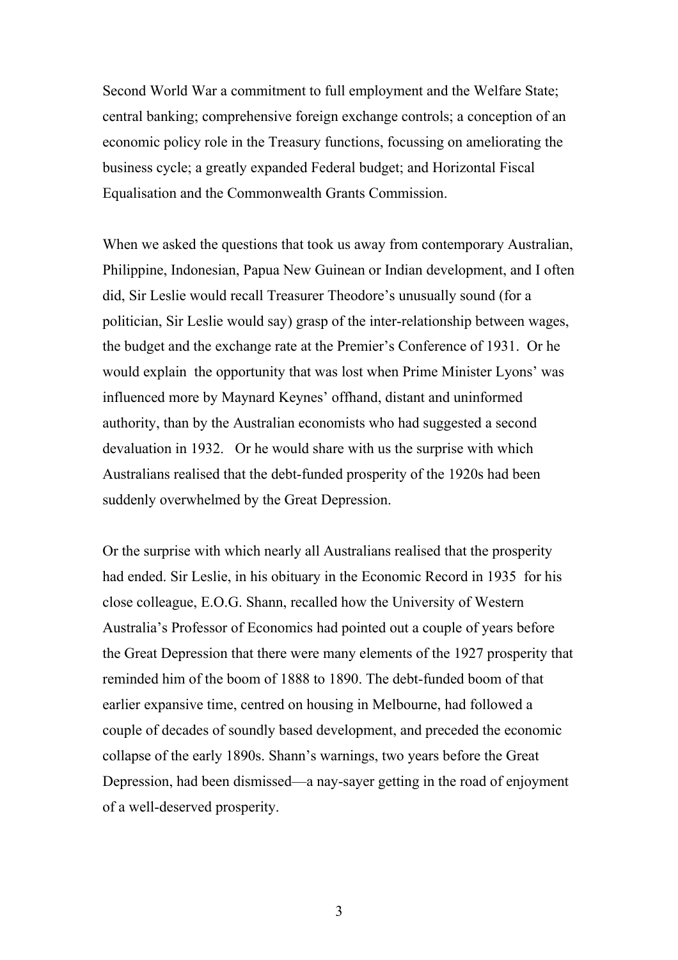Second World War a commitment to full employment and the Welfare State; central banking; comprehensive foreign exchange controls; a conception of an economic policy role in the Treasury functions, focussing on ameliorating the business cycle; a greatly expanded Federal budget; and Horizontal Fiscal Equalisation and the Commonwealth Grants Commission.

When we asked the questions that took us away from contemporary Australian, Philippine, Indonesian, Papua New Guinean or Indian development, and I often did, Sir Leslie would recall Treasurer Theodore's unusually sound (for a politician, Sir Leslie would say) grasp of the inter-relationship between wages, the budget and the exchange rate at the Premier's Conference of 1931. Or he would explain the opportunity that was lost when Prime Minister Lyons' was influenced more by Maynard Keynes' offhand, distant and uninformed authority, than by the Australian economists who had suggested a second devaluation in 1932. Or he would share with us the surprise with which Australians realised that the debt-funded prosperity of the 1920s had been suddenly overwhelmed by the Great Depression.

Or the surprise with which nearly all Australians realised that the prosperity had ended. Sir Leslie, in his obituary in the Economic Record in 1935 for his close colleague, E.O.G. Shann, recalled how the University of Western Australia's Professor of Economics had pointed out a couple of years before the Great Depression that there were many elements of the 1927 prosperity that reminded him of the boom of 1888 to 1890. The debt-funded boom of that earlier expansive time, centred on housing in Melbourne, had followed a couple of decades of soundly based development, and preceded the economic collapse of the early 1890s. Shann's warnings, two years before the Great Depression, had been dismissed—a nay-sayer getting in the road of enjoyment of a well-deserved prosperity.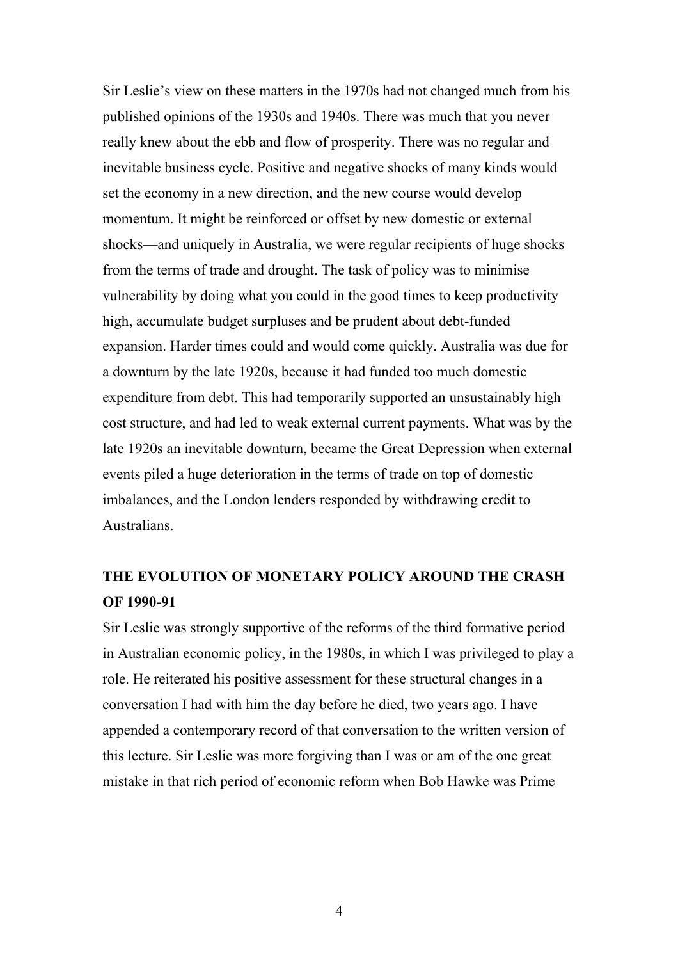Sir Leslie's view on these matters in the 1970s had not changed much from his published opinions of the 1930s and 1940s. There was much that you never really knew about the ebb and flow of prosperity. There was no regular and inevitable business cycle. Positive and negative shocks of many kinds would set the economy in a new direction, and the new course would develop momentum. It might be reinforced or offset by new domestic or external shocks—and uniquely in Australia, we were regular recipients of huge shocks from the terms of trade and drought. The task of policy was to minimise vulnerability by doing what you could in the good times to keep productivity high, accumulate budget surpluses and be prudent about debt-funded expansion. Harder times could and would come quickly. Australia was due for a downturn by the late 1920s, because it had funded too much domestic expenditure from debt. This had temporarily supported an unsustainably high cost structure, and had led to weak external current payments. What was by the late 1920s an inevitable downturn, became the Great Depression when external events piled a huge deterioration in the terms of trade on top of domestic imbalances, and the London lenders responded by withdrawing credit to Australians.

### **THE EVOLUTION OF MONETARY POLICY AROUND THE CRASH OF 1990-91**

Sir Leslie was strongly supportive of the reforms of the third formative period in Australian economic policy, in the 1980s, in which I was privileged to play a role. He reiterated his positive assessment for these structural changes in a conversation I had with him the day before he died, two years ago. I have appended a contemporary record of that conversation to the written version of this lecture. Sir Leslie was more forgiving than I was or am of the one great mistake in that rich period of economic reform when Bob Hawke was Prime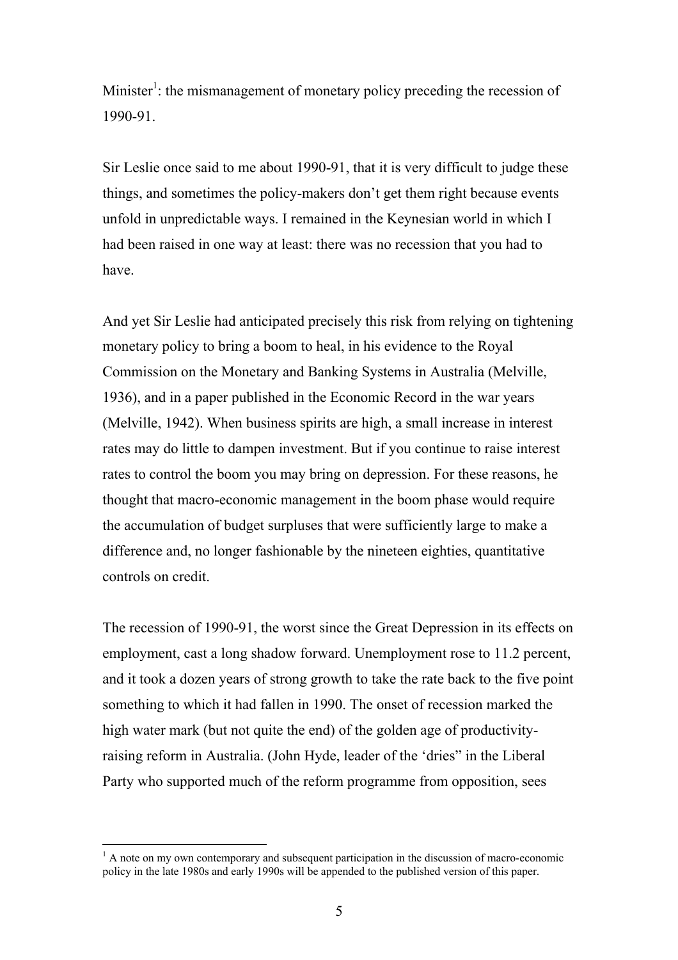Minister<sup>1</sup>: the mismanagement of monetary policy preceding the recession of 1990-91.

Sir Leslie once said to me about 1990-91, that it is very difficult to judge these things, and sometimes the policy-makers don't get them right because events unfold in unpredictable ways. I remained in the Keynesian world in which I had been raised in one way at least: there was no recession that you had to have.

And yet Sir Leslie had anticipated precisely this risk from relying on tightening monetary policy to bring a boom to heal, in his evidence to the Royal Commission on the Monetary and Banking Systems in Australia (Melville, 1936), and in a paper published in the Economic Record in the war years (Melville, 1942). When business spirits are high, a small increase in interest rates may do little to dampen investment. But if you continue to raise interest rates to control the boom you may bring on depression. For these reasons, he thought that macro-economic management in the boom phase would require the accumulation of budget surpluses that were sufficiently large to make a difference and, no longer fashionable by the nineteen eighties, quantitative controls on credit.

The recession of 1990-91, the worst since the Great Depression in its effects on employment, cast a long shadow forward. Unemployment rose to 11.2 percent, and it took a dozen years of strong growth to take the rate back to the five point something to which it had fallen in 1990. The onset of recession marked the high water mark (but not quite the end) of the golden age of productivityraising reform in Australia. (John Hyde, leader of the 'dries" in the Liberal Party who supported much of the reform programme from opposition, sees

<span id="page-4-0"></span> $\frac{1}{1}$  $^1$  A note on my own contemporary and subsequent participation in the discussion of macro-economic policy in the late 1980s and early 1990s will be appended to the published version of this paper.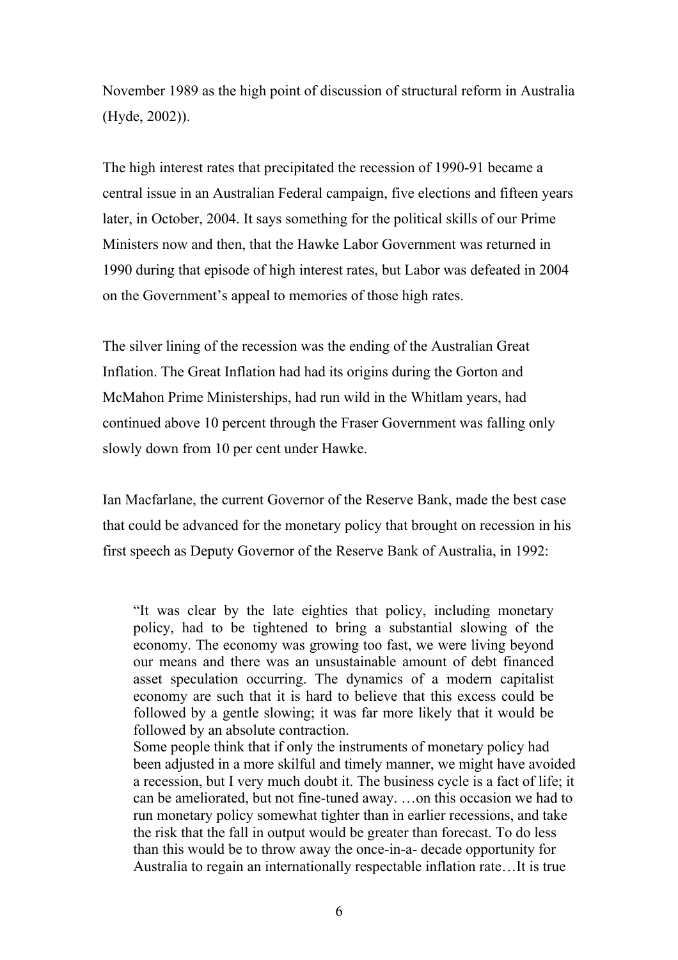November 1989 as the high point of discussion of structural reform in Australia (Hyde, 2002)).

The high interest rates that precipitated the recession of 1990-91 became a central issue in an Australian Federal campaign, five elections and fifteen years later, in October, 2004. It says something for the political skills of our Prime Ministers now and then, that the Hawke Labor Government was returned in 1990 during that episode of high interest rates, but Labor was defeated in 2004 on the Government's appeal to memories of those high rates.

The silver lining of the recession was the ending of the Australian Great Inflation. The Great Inflation had had its origins during the Gorton and McMahon Prime Ministerships, had run wild in the Whitlam years, had continued above 10 percent through the Fraser Government was falling only slowly down from 10 per cent under Hawke.

Ian Macfarlane, the current Governor of the Reserve Bank, made the best case that could be advanced for the monetary policy that brought on recession in his first speech as Deputy Governor of the Reserve Bank of Australia, in 1992:

"It was clear by the late eighties that policy, including monetary policy, had to be tightened to bring a substantial slowing of the economy. The economy was growing too fast, we were living beyond our means and there was an unsustainable amount of debt financed asset speculation occurring. The dynamics of a modern capitalist economy are such that it is hard to believe that this excess could be followed by a gentle slowing; it was far more likely that it would be followed by an absolute contraction.

Some people think that if only the instruments of monetary policy had been adjusted in a more skilful and timely manner, we might have avoided a recession, but I very much doubt it. The business cycle is a fact of life; it can be ameliorated, but not fine-tuned away. …on this occasion we had to run monetary policy somewhat tighter than in earlier recessions, and take the risk that the fall in output would be greater than forecast. To do less than this would be to throw away the once-in-a- decade opportunity for Australia to regain an internationally respectable inflation rate…It is true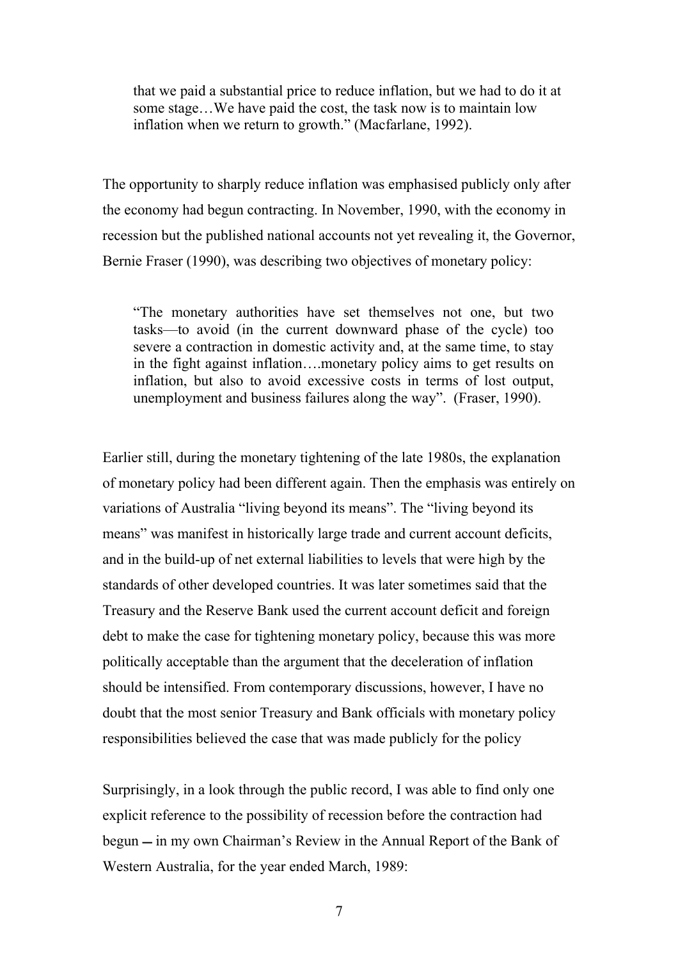that we paid a substantial price to reduce inflation, but we had to do it at some stage…We have paid the cost, the task now is to maintain low inflation when we return to growth." (Macfarlane, 1992).

The opportunity to sharply reduce inflation was emphasised publicly only after the economy had begun contracting. In November, 1990, with the economy in recession but the published national accounts not yet revealing it, the Governor, Bernie Fraser (1990), was describing two objectives of monetary policy:

"The monetary authorities have set themselves not one, but two tasks—to avoid (in the current downward phase of the cycle) too severe a contraction in domestic activity and, at the same time, to stay in the fight against inflation….monetary policy aims to get results on inflation, but also to avoid excessive costs in terms of lost output, unemployment and business failures along the way". (Fraser, 1990).

Earlier still, during the monetary tightening of the late 1980s, the explanation of monetary policy had been different again. Then the emphasis was entirely on variations of Australia "living beyond its means". The "living beyond its means" was manifest in historically large trade and current account deficits, and in the build-up of net external liabilities to levels that were high by the standards of other developed countries. It was later sometimes said that the Treasury and the Reserve Bank used the current account deficit and foreign debt to make the case for tightening monetary policy, because this was more politically acceptable than the argument that the deceleration of inflation should be intensified. From contemporary discussions, however, I have no doubt that the most senior Treasury and Bank officials with monetary policy responsibilities believed the case that was made publicly for the policy

Surprisingly, in a look through the public record, I was able to find only one explicit reference to the possibility of recession before the contraction had begun — in my own Chairman's Review in the Annual Report of the Bank of Western Australia, for the year ended March, 1989: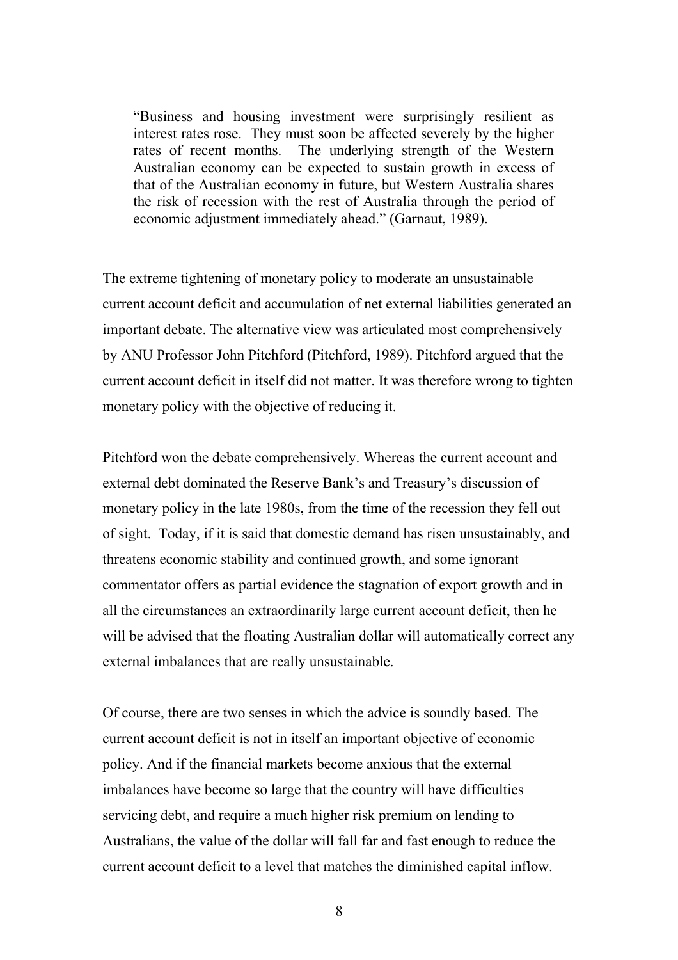"Business and housing investment were surprisingly resilient as interest rates rose. They must soon be affected severely by the higher rates of recent months. The underlying strength of the Western Australian economy can be expected to sustain growth in excess of that of the Australian economy in future, but Western Australia shares the risk of recession with the rest of Australia through the period of economic adjustment immediately ahead." (Garnaut, 1989).

The extreme tightening of monetary policy to moderate an unsustainable current account deficit and accumulation of net external liabilities generated an important debate. The alternative view was articulated most comprehensively by ANU Professor John Pitchford (Pitchford, 1989). Pitchford argued that the current account deficit in itself did not matter. It was therefore wrong to tighten monetary policy with the objective of reducing it.

Pitchford won the debate comprehensively. Whereas the current account and external debt dominated the Reserve Bank's and Treasury's discussion of monetary policy in the late 1980s, from the time of the recession they fell out of sight. Today, if it is said that domestic demand has risen unsustainably, and threatens economic stability and continued growth, and some ignorant commentator offers as partial evidence the stagnation of export growth and in all the circumstances an extraordinarily large current account deficit, then he will be advised that the floating Australian dollar will automatically correct any external imbalances that are really unsustainable.

Of course, there are two senses in which the advice is soundly based. The current account deficit is not in itself an important objective of economic policy. And if the financial markets become anxious that the external imbalances have become so large that the country will have difficulties servicing debt, and require a much higher risk premium on lending to Australians, the value of the dollar will fall far and fast enough to reduce the current account deficit to a level that matches the diminished capital inflow.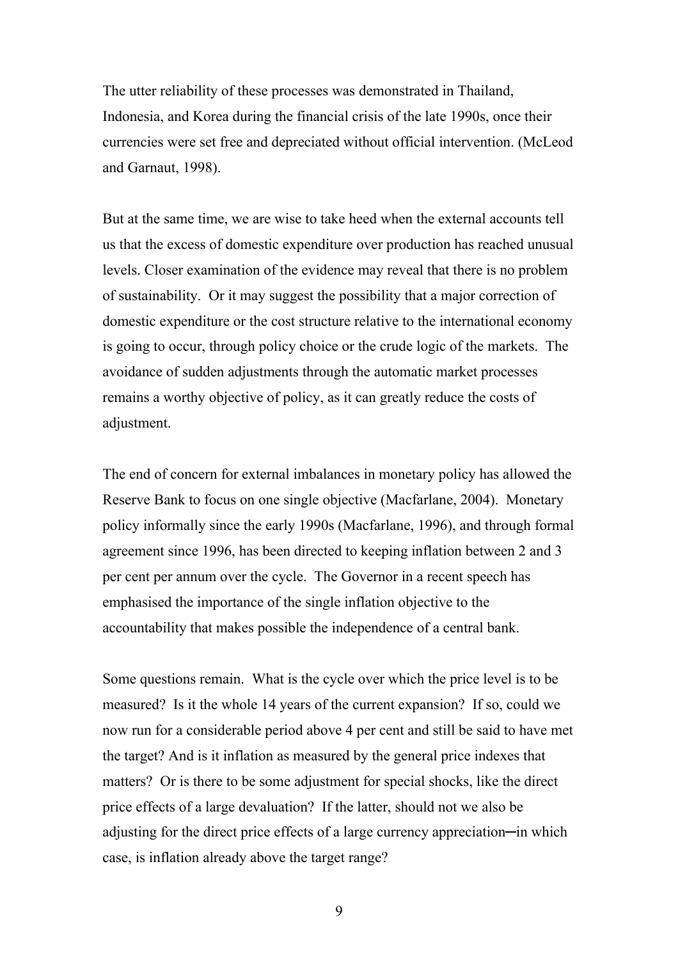The utter reliability of these processes was demonstrated in Thailand, Indonesia, and Korea during the financial crisis of the late 1990s, once their currencies were set free and depreciated without official intervention. (McLeod and Garnaut, 1998).

But at the same time, we are wise to take heed when the external accounts tell us that the excess of domestic expenditure over production has reached unusual levels. Closer examination of the evidence may reveal that there is no problem of sustainability. Or it may suggest the possibility that a major correction of domestic expenditure or the cost structure relative to the international economy is going to occur, through policy choice or the crude logic of the markets. The avoidance of sudden adjustments through the automatic market processes remains a worthy objective of policy, as it can greatly reduce the costs of adjustment.

The end of concern for external imbalances in monetary policy has allowed the Reserve Bank to focus on one single objective (Macfarlane, 2004). Monetary policy informally since the early 1990s (Macfarlane, 1996), and through formal agreement since 1996, has been directed to keeping inflation between 2 and 3 per cent per annum over the cycle. The Governor in a recent speech has emphasised the importance of the single inflation objective to the accountability that makes possible the independence of a central bank.

Some questions remain. What is the cycle over which the price level is to be measured? Is it the whole 14 years of the current expansion? If so, could we now run for a considerable period above 4 per cent and still be said to have met the target? And is it inflation as measured by the general price indexes that matters? Or is there to be some adjustment for special shocks, like the direct price effects of a large devaluation? If the latter, should not we also be adjusting for the direct price effects of a large currency appreciation—in which case, is inflation already above the target range?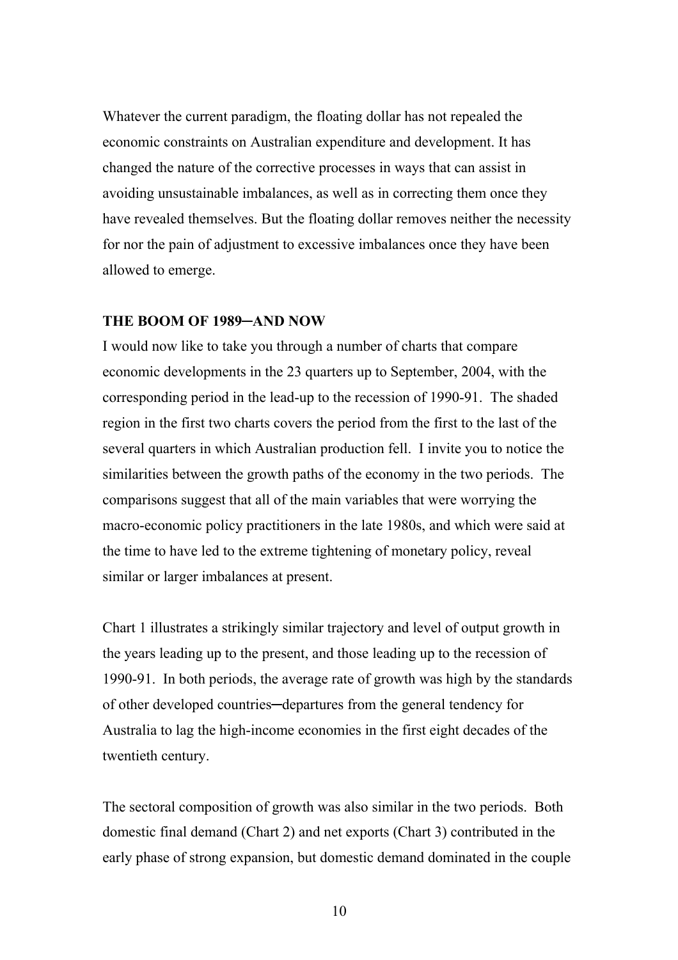Whatever the current paradigm, the floating dollar has not repealed the economic constraints on Australian expenditure and development. It has changed the nature of the corrective processes in ways that can assist in avoiding unsustainable imbalances, as well as in correcting them once they have revealed themselves. But the floating dollar removes neither the necessity for nor the pain of adjustment to excessive imbalances once they have been allowed to emerge.

#### **THE BOOM OF 1989─AND NOW**

I would now like to take you through a number of charts that compare economic developments in the 23 quarters up to September, 2004, with the corresponding period in the lead-up to the recession of 1990-91. The shaded region in the first two charts covers the period from the first to the last of the several quarters in which Australian production fell. I invite you to notice the similarities between the growth paths of the economy in the two periods. The comparisons suggest that all of the main variables that were worrying the macro-economic policy practitioners in the late 1980s, and which were said at the time to have led to the extreme tightening of monetary policy, reveal similar or larger imbalances at present.

Chart 1 illustrates a strikingly similar trajectory and level of output growth in the years leading up to the present, and those leading up to the recession of 1990-91. In both periods, the average rate of growth was high by the standards of other developed countries─departures from the general tendency for Australia to lag the high-income economies in the first eight decades of the twentieth century.

The sectoral composition of growth was also similar in the two periods. Both domestic final demand (Chart 2) and net exports (Chart 3) contributed in the early phase of strong expansion, but domestic demand dominated in the couple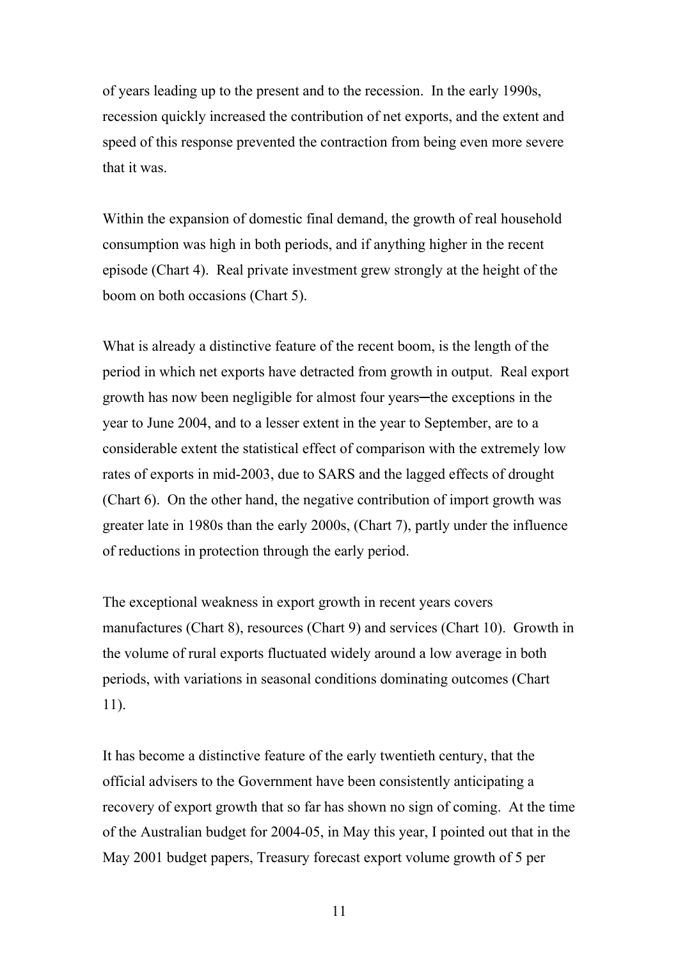of years leading up to the present and to the recession. In the early 1990s, recession quickly increased the contribution of net exports, and the extent and speed of this response prevented the contraction from being even more severe that it was.

Within the expansion of domestic final demand, the growth of real household consumption was high in both periods, and if anything higher in the recent episode (Chart 4). Real private investment grew strongly at the height of the boom on both occasions (Chart 5).

What is already a distinctive feature of the recent boom, is the length of the period in which net exports have detracted from growth in output. Real export growth has now been negligible for almost four years─the exceptions in the year to June 2004, and to a lesser extent in the year to September, are to a considerable extent the statistical effect of comparison with the extremely low rates of exports in mid-2003, due to SARS and the lagged effects of drought (Chart 6). On the other hand, the negative contribution of import growth was greater late in 1980s than the early 2000s, (Chart 7), partly under the influence of reductions in protection through the early period.

The exceptional weakness in export growth in recent years covers manufactures (Chart 8), resources (Chart 9) and services (Chart 10). Growth in the volume of rural exports fluctuated widely around a low average in both periods, with variations in seasonal conditions dominating outcomes (Chart 11).

It has become a distinctive feature of the early twentieth century, that the official advisers to the Government have been consistently anticipating a recovery of export growth that so far has shown no sign of coming. At the time of the Australian budget for 2004-05, in May this year, I pointed out that in the May 2001 budget papers, Treasury forecast export volume growth of 5 per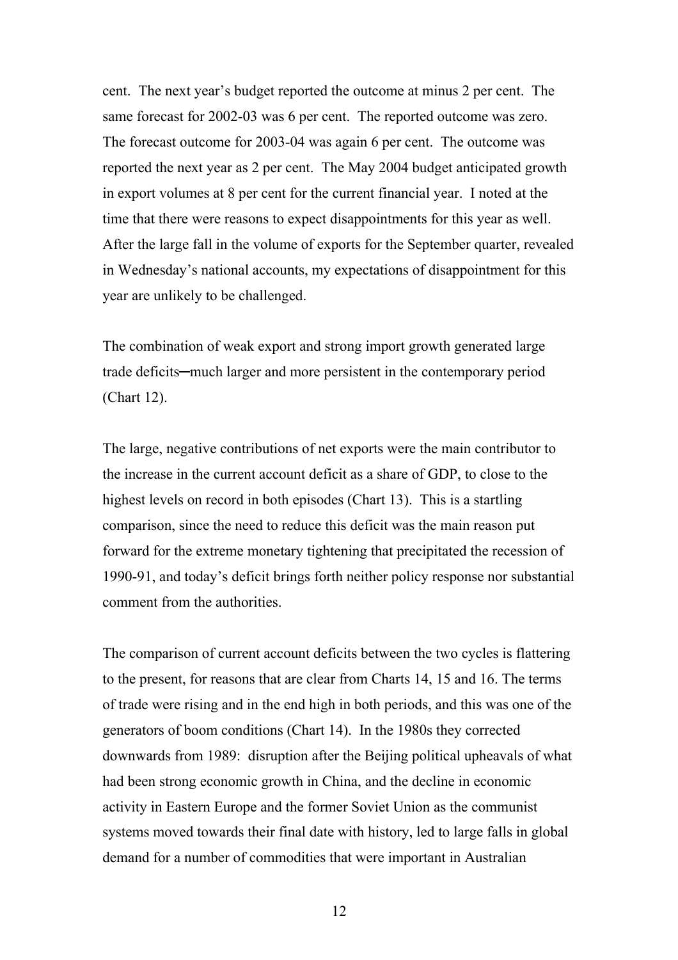cent. The next year's budget reported the outcome at minus 2 per cent. The same forecast for 2002-03 was 6 per cent. The reported outcome was zero. The forecast outcome for 2003-04 was again 6 per cent. The outcome was reported the next year as 2 per cent. The May 2004 budget anticipated growth in export volumes at 8 per cent for the current financial year. I noted at the time that there were reasons to expect disappointments for this year as well. After the large fall in the volume of exports for the September quarter, revealed in Wednesday's national accounts, my expectations of disappointment for this year are unlikely to be challenged.

The combination of weak export and strong import growth generated large trade deficits─much larger and more persistent in the contemporary period (Chart 12).

The large, negative contributions of net exports were the main contributor to the increase in the current account deficit as a share of GDP, to close to the highest levels on record in both episodes (Chart 13). This is a startling comparison, since the need to reduce this deficit was the main reason put forward for the extreme monetary tightening that precipitated the recession of 1990-91, and today's deficit brings forth neither policy response nor substantial comment from the authorities.

The comparison of current account deficits between the two cycles is flattering to the present, for reasons that are clear from Charts 14, 15 and 16. The terms of trade were rising and in the end high in both periods, and this was one of the generators of boom conditions (Chart 14). In the 1980s they corrected downwards from 1989: disruption after the Beijing political upheavals of what had been strong economic growth in China, and the decline in economic activity in Eastern Europe and the former Soviet Union as the communist systems moved towards their final date with history, led to large falls in global demand for a number of commodities that were important in Australian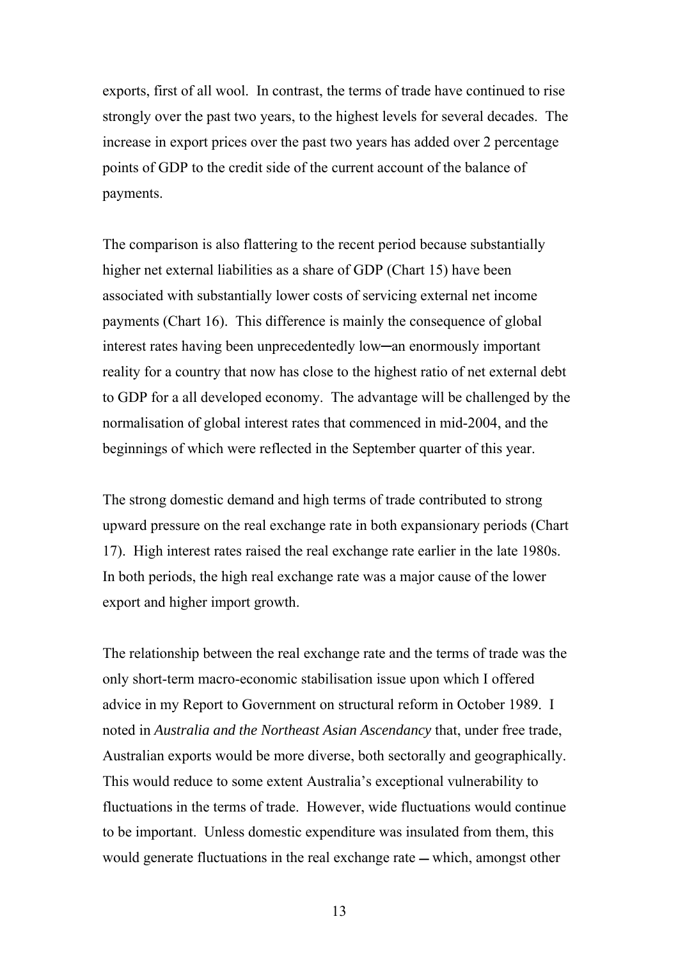exports, first of all wool. In contrast, the terms of trade have continued to rise strongly over the past two years, to the highest levels for several decades. The increase in export prices over the past two years has added over 2 percentage points of GDP to the credit side of the current account of the balance of payments.

The comparison is also flattering to the recent period because substantially higher net external liabilities as a share of GDP (Chart 15) have been associated with substantially lower costs of servicing external net income payments (Chart 16). This difference is mainly the consequence of global interest rates having been unprecedentedly low─an enormously important reality for a country that now has close to the highest ratio of net external debt to GDP for a all developed economy. The advantage will be challenged by the normalisation of global interest rates that commenced in mid-2004, and the beginnings of which were reflected in the September quarter of this year.

The strong domestic demand and high terms of trade contributed to strong upward pressure on the real exchange rate in both expansionary periods (Chart 17). High interest rates raised the real exchange rate earlier in the late 1980s. In both periods, the high real exchange rate was a major cause of the lower export and higher import growth.

The relationship between the real exchange rate and the terms of trade was the only short-term macro-economic stabilisation issue upon which I offered advice in my Report to Government on structural reform in October 1989. I noted in *Australia and the Northeast Asian Ascendancy* that, under free trade, Australian exports would be more diverse, both sectorally and geographically. This would reduce to some extent Australia's exceptional vulnerability to fluctuations in the terms of trade. However, wide fluctuations would continue to be important. Unless domestic expenditure was insulated from them, this would generate fluctuations in the real exchange rate — which, amongst other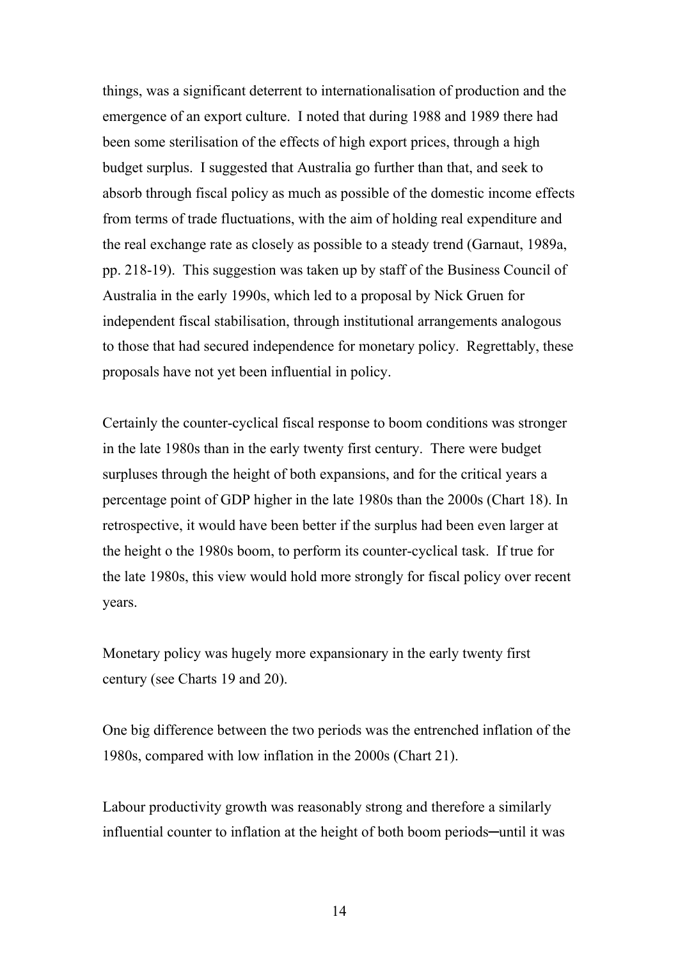things, was a significant deterrent to internationalisation of production and the emergence of an export culture. I noted that during 1988 and 1989 there had been some sterilisation of the effects of high export prices, through a high budget surplus. I suggested that Australia go further than that, and seek to absorb through fiscal policy as much as possible of the domestic income effects from terms of trade fluctuations, with the aim of holding real expenditure and the real exchange rate as closely as possible to a steady trend (Garnaut, 1989a, pp. 218-19). This suggestion was taken up by staff of the Business Council of Australia in the early 1990s, which led to a proposal by Nick Gruen for independent fiscal stabilisation, through institutional arrangements analogous to those that had secured independence for monetary policy. Regrettably, these proposals have not yet been influential in policy.

Certainly the counter-cyclical fiscal response to boom conditions was stronger in the late 1980s than in the early twenty first century. There were budget surpluses through the height of both expansions, and for the critical years a percentage point of GDP higher in the late 1980s than the 2000s (Chart 18). In retrospective, it would have been better if the surplus had been even larger at the height o the 1980s boom, to perform its counter-cyclical task. If true for the late 1980s, this view would hold more strongly for fiscal policy over recent years.

Monetary policy was hugely more expansionary in the early twenty first century (see Charts 19 and 20).

One big difference between the two periods was the entrenched inflation of the 1980s, compared with low inflation in the 2000s (Chart 21).

Labour productivity growth was reasonably strong and therefore a similarly influential counter to inflation at the height of both boom periods─until it was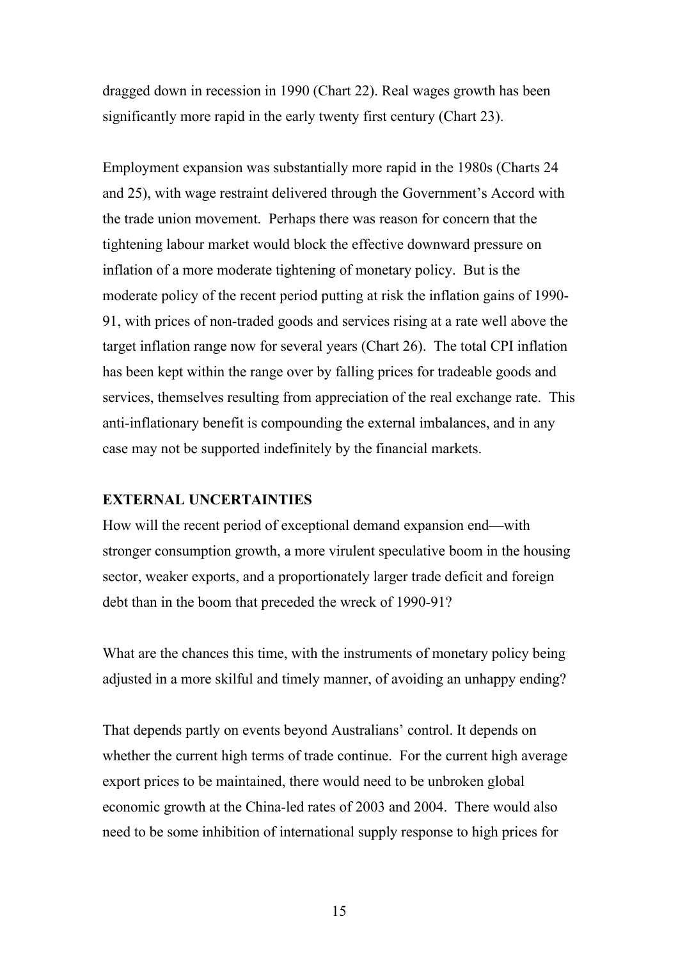dragged down in recession in 1990 (Chart 22). Real wages growth has been significantly more rapid in the early twenty first century (Chart 23).

Employment expansion was substantially more rapid in the 1980s (Charts 24 and 25), with wage restraint delivered through the Government's Accord with the trade union movement. Perhaps there was reason for concern that the tightening labour market would block the effective downward pressure on inflation of a more moderate tightening of monetary policy. But is the moderate policy of the recent period putting at risk the inflation gains of 1990- 91, with prices of non-traded goods and services rising at a rate well above the target inflation range now for several years (Chart 26). The total CPI inflation has been kept within the range over by falling prices for tradeable goods and services, themselves resulting from appreciation of the real exchange rate. This anti-inflationary benefit is compounding the external imbalances, and in any case may not be supported indefinitely by the financial markets.

#### **EXTERNAL UNCERTAINTIES**

How will the recent period of exceptional demand expansion end—with stronger consumption growth, a more virulent speculative boom in the housing sector, weaker exports, and a proportionately larger trade deficit and foreign debt than in the boom that preceded the wreck of 1990-91?

What are the chances this time, with the instruments of monetary policy being adjusted in a more skilful and timely manner, of avoiding an unhappy ending?

That depends partly on events beyond Australians' control. It depends on whether the current high terms of trade continue. For the current high average export prices to be maintained, there would need to be unbroken global economic growth at the China-led rates of 2003 and 2004. There would also need to be some inhibition of international supply response to high prices for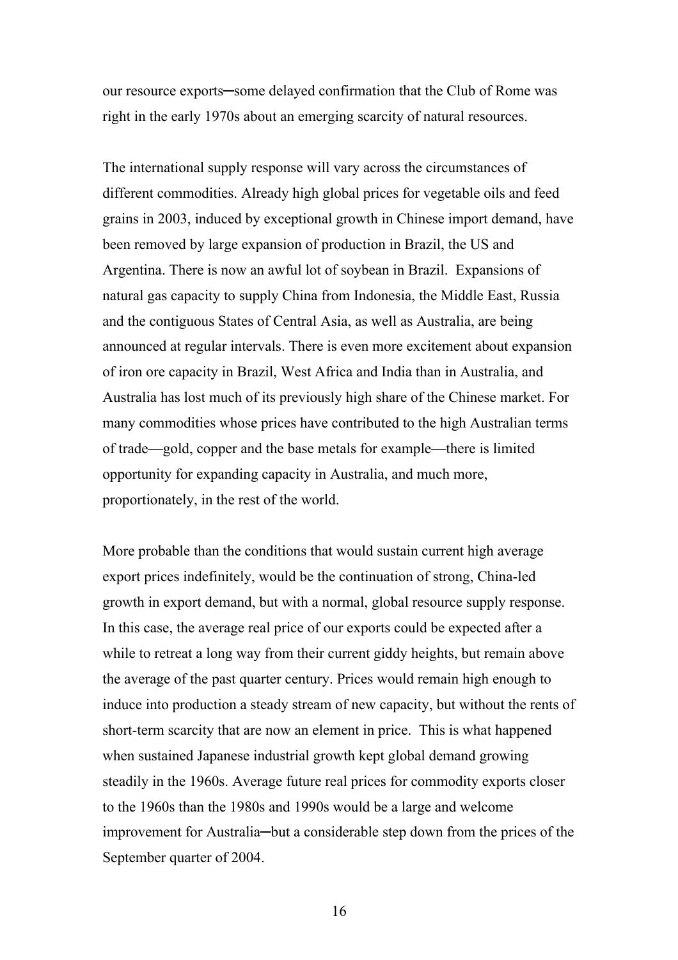our resource exports—some delayed confirmation that the Club of Rome was right in the early 1970s about an emerging scarcity of natural resources.

The international supply response will vary across the circumstances of different commodities. Already high global prices for vegetable oils and feed grains in 2003, induced by exceptional growth in Chinese import demand, have been removed by large expansion of production in Brazil, the US and Argentina. There is now an awful lot of soybean in Brazil. Expansions of natural gas capacity to supply China from Indonesia, the Middle East, Russia and the contiguous States of Central Asia, as well as Australia, are being announced at regular intervals. There is even more excitement about expansion of iron ore capacity in Brazil, West Africa and India than in Australia, and Australia has lost much of its previously high share of the Chinese market. For many commodities whose prices have contributed to the high Australian terms of trade—gold, copper and the base metals for example—there is limited opportunity for expanding capacity in Australia, and much more, proportionately, in the rest of the world.

More probable than the conditions that would sustain current high average export prices indefinitely, would be the continuation of strong, China-led growth in export demand, but with a normal, global resource supply response. In this case, the average real price of our exports could be expected after a while to retreat a long way from their current giddy heights, but remain above the average of the past quarter century. Prices would remain high enough to induce into production a steady stream of new capacity, but without the rents of short-term scarcity that are now an element in price. This is what happened when sustained Japanese industrial growth kept global demand growing steadily in the 1960s. Average future real prices for commodity exports closer to the 1960s than the 1980s and 1990s would be a large and welcome improvement for Australia—but a considerable step down from the prices of the September quarter of 2004.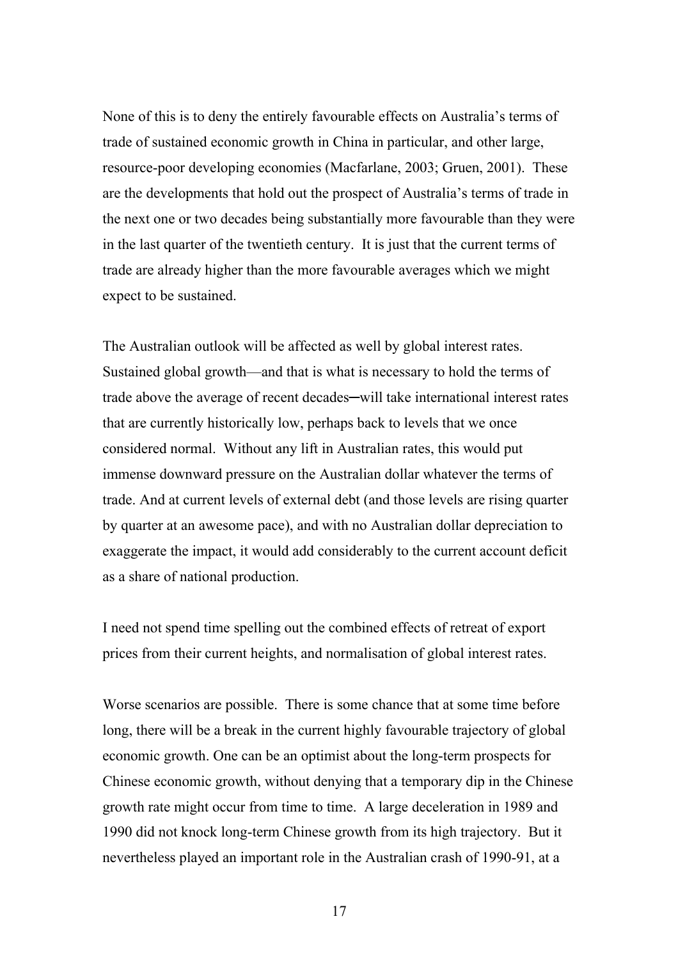None of this is to deny the entirely favourable effects on Australia's terms of trade of sustained economic growth in China in particular, and other large, resource-poor developing economies (Macfarlane, 2003; Gruen, 2001). These are the developments that hold out the prospect of Australia's terms of trade in the next one or two decades being substantially more favourable than they were in the last quarter of the twentieth century. It is just that the current terms of trade are already higher than the more favourable averages which we might expect to be sustained.

The Australian outlook will be affected as well by global interest rates. Sustained global growth—and that is what is necessary to hold the terms of trade above the average of recent decades─will take international interest rates that are currently historically low, perhaps back to levels that we once considered normal. Without any lift in Australian rates, this would put immense downward pressure on the Australian dollar whatever the terms of trade. And at current levels of external debt (and those levels are rising quarter by quarter at an awesome pace), and with no Australian dollar depreciation to exaggerate the impact, it would add considerably to the current account deficit as a share of national production.

I need not spend time spelling out the combined effects of retreat of export prices from their current heights, and normalisation of global interest rates.

Worse scenarios are possible. There is some chance that at some time before long, there will be a break in the current highly favourable trajectory of global economic growth. One can be an optimist about the long-term prospects for Chinese economic growth, without denying that a temporary dip in the Chinese growth rate might occur from time to time. A large deceleration in 1989 and 1990 did not knock long-term Chinese growth from its high trajectory. But it nevertheless played an important role in the Australian crash of 1990-91, at a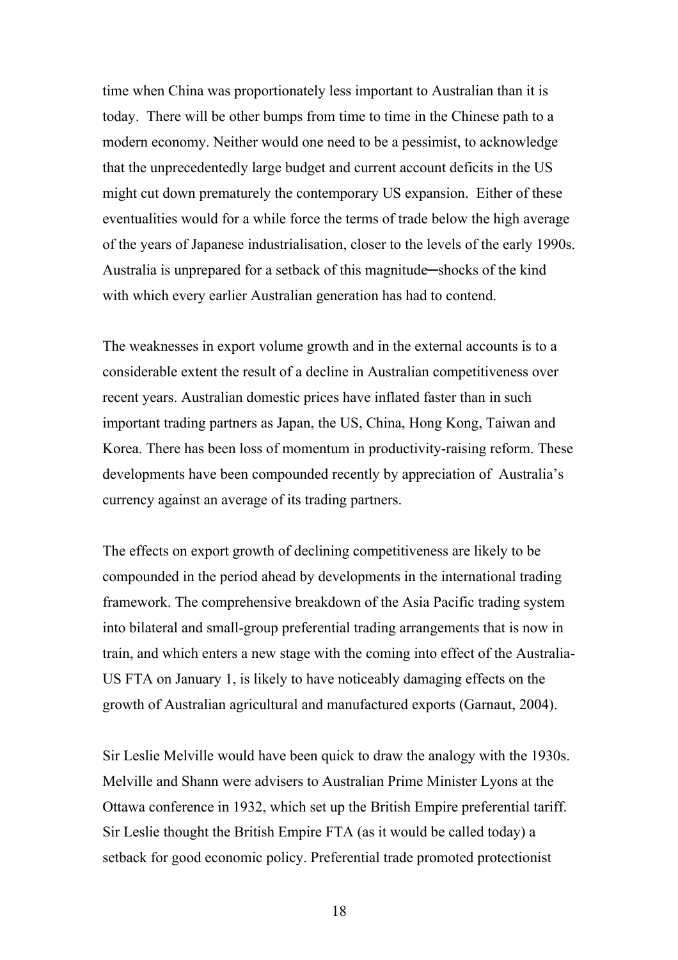time when China was proportionately less important to Australian than it is today. There will be other bumps from time to time in the Chinese path to a modern economy. Neither would one need to be a pessimist, to acknowledge that the unprecedentedly large budget and current account deficits in the US might cut down prematurely the contemporary US expansion. Either of these eventualities would for a while force the terms of trade below the high average of the years of Japanese industrialisation, closer to the levels of the early 1990s. Australia is unprepared for a setback of this magnitude─shocks of the kind with which every earlier Australian generation has had to contend.

The weaknesses in export volume growth and in the external accounts is to a considerable extent the result of a decline in Australian competitiveness over recent years. Australian domestic prices have inflated faster than in such important trading partners as Japan, the US, China, Hong Kong, Taiwan and Korea. There has been loss of momentum in productivity-raising reform. These developments have been compounded recently by appreciation of Australia's currency against an average of its trading partners.

The effects on export growth of declining competitiveness are likely to be compounded in the period ahead by developments in the international trading framework. The comprehensive breakdown of the Asia Pacific trading system into bilateral and small-group preferential trading arrangements that is now in train, and which enters a new stage with the coming into effect of the Australia-US FTA on January 1, is likely to have noticeably damaging effects on the growth of Australian agricultural and manufactured exports (Garnaut, 2004).

Sir Leslie Melville would have been quick to draw the analogy with the 1930s. Melville and Shann were advisers to Australian Prime Minister Lyons at the Ottawa conference in 1932, which set up the British Empire preferential tariff. Sir Leslie thought the British Empire FTA (as it would be called today) a setback for good economic policy. Preferential trade promoted protectionist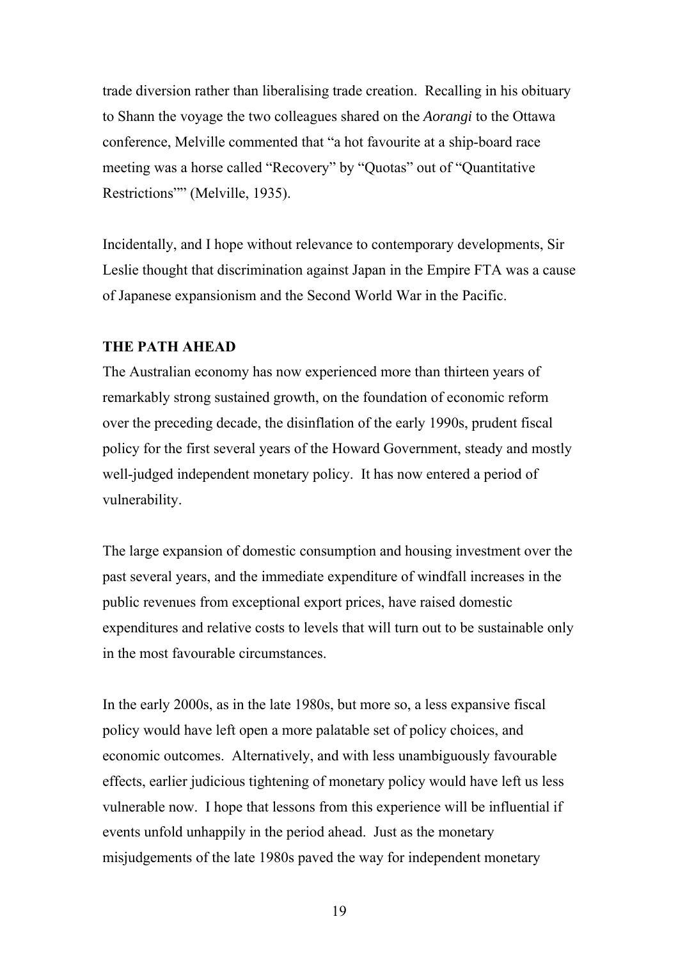trade diversion rather than liberalising trade creation. Recalling in his obituary to Shann the voyage the two colleagues shared on the *Aorangi* to the Ottawa conference, Melville commented that "a hot favourite at a ship-board race meeting was a horse called "Recovery" by "Quotas" out of "Quantitative Restrictions"" (Melville, 1935).

Incidentally, and I hope without relevance to contemporary developments, Sir Leslie thought that discrimination against Japan in the Empire FTA was a cause of Japanese expansionism and the Second World War in the Pacific.

#### **THE PATH AHEAD**

The Australian economy has now experienced more than thirteen years of remarkably strong sustained growth, on the foundation of economic reform over the preceding decade, the disinflation of the early 1990s, prudent fiscal policy for the first several years of the Howard Government, steady and mostly well-judged independent monetary policy. It has now entered a period of vulnerability.

The large expansion of domestic consumption and housing investment over the past several years, and the immediate expenditure of windfall increases in the public revenues from exceptional export prices, have raised domestic expenditures and relative costs to levels that will turn out to be sustainable only in the most favourable circumstances.

In the early 2000s, as in the late 1980s, but more so, a less expansive fiscal policy would have left open a more palatable set of policy choices, and economic outcomes. Alternatively, and with less unambiguously favourable effects, earlier judicious tightening of monetary policy would have left us less vulnerable now. I hope that lessons from this experience will be influential if events unfold unhappily in the period ahead. Just as the monetary misjudgements of the late 1980s paved the way for independent monetary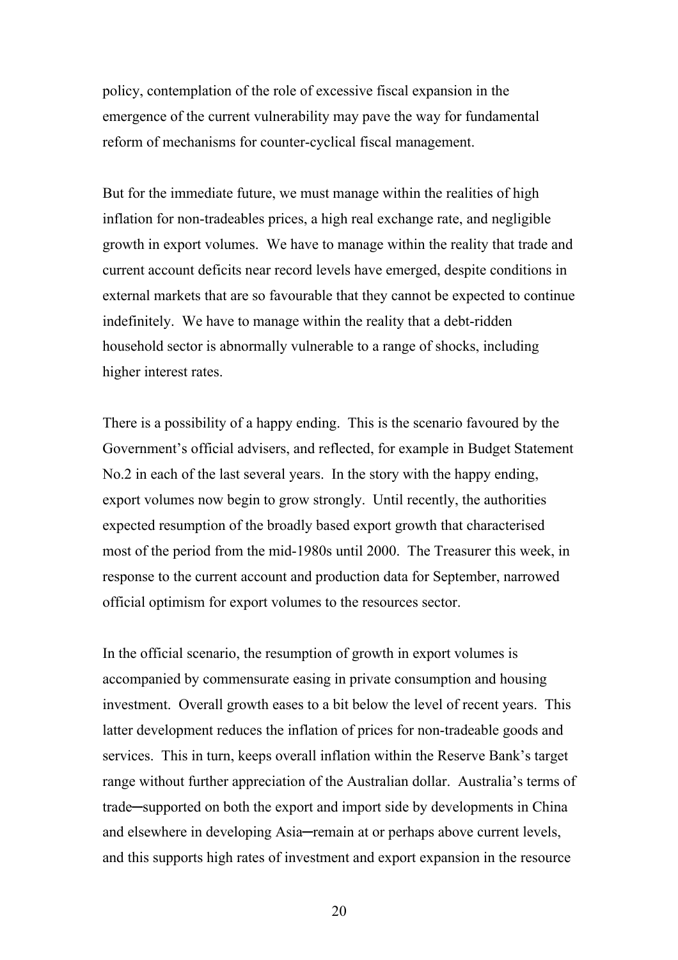policy, contemplation of the role of excessive fiscal expansion in the emergence of the current vulnerability may pave the way for fundamental reform of mechanisms for counter-cyclical fiscal management.

But for the immediate future, we must manage within the realities of high inflation for non-tradeables prices, a high real exchange rate, and negligible growth in export volumes. We have to manage within the reality that trade and current account deficits near record levels have emerged, despite conditions in external markets that are so favourable that they cannot be expected to continue indefinitely. We have to manage within the reality that a debt-ridden household sector is abnormally vulnerable to a range of shocks, including higher interest rates.

There is a possibility of a happy ending. This is the scenario favoured by the Government's official advisers, and reflected, for example in Budget Statement No.2 in each of the last several years. In the story with the happy ending, export volumes now begin to grow strongly. Until recently, the authorities expected resumption of the broadly based export growth that characterised most of the period from the mid-1980s until 2000. The Treasurer this week, in response to the current account and production data for September, narrowed official optimism for export volumes to the resources sector.

In the official scenario, the resumption of growth in export volumes is accompanied by commensurate easing in private consumption and housing investment. Overall growth eases to a bit below the level of recent years. This latter development reduces the inflation of prices for non-tradeable goods and services. This in turn, keeps overall inflation within the Reserve Bank's target range without further appreciation of the Australian dollar. Australia's terms of trade─supported on both the export and import side by developments in China and elsewhere in developing Asia—remain at or perhaps above current levels, and this supports high rates of investment and export expansion in the resource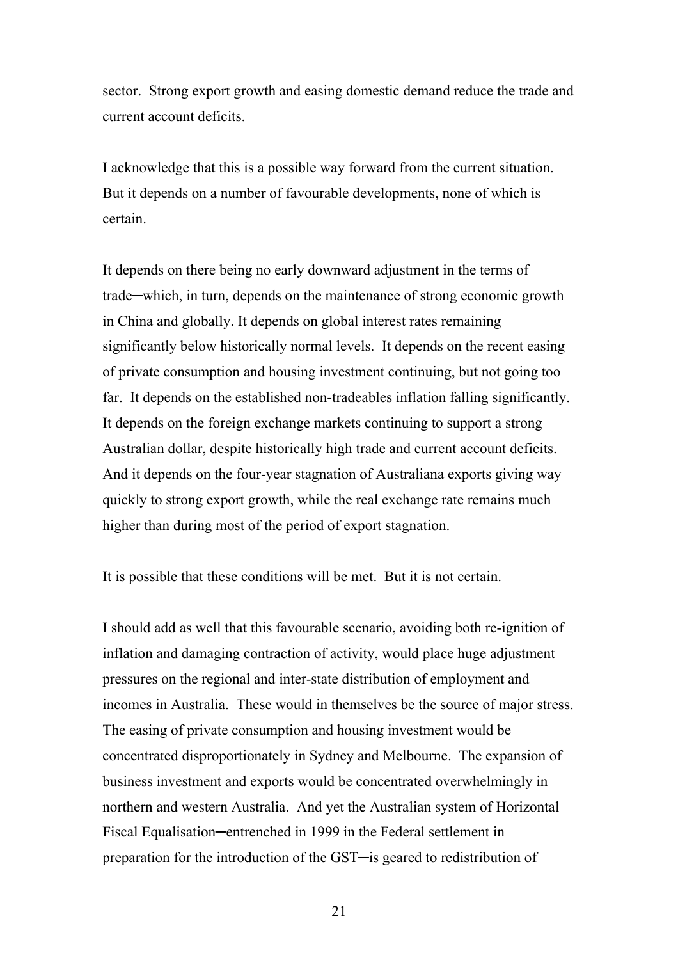sector. Strong export growth and easing domestic demand reduce the trade and current account deficits.

I acknowledge that this is a possible way forward from the current situation. But it depends on a number of favourable developments, none of which is certain.

It depends on there being no early downward adjustment in the terms of trade─which, in turn, depends on the maintenance of strong economic growth in China and globally. It depends on global interest rates remaining significantly below historically normal levels. It depends on the recent easing of private consumption and housing investment continuing, but not going too far. It depends on the established non-tradeables inflation falling significantly. It depends on the foreign exchange markets continuing to support a strong Australian dollar, despite historically high trade and current account deficits. And it depends on the four-year stagnation of Australiana exports giving way quickly to strong export growth, while the real exchange rate remains much higher than during most of the period of export stagnation.

It is possible that these conditions will be met. But it is not certain.

I should add as well that this favourable scenario, avoiding both re-ignition of inflation and damaging contraction of activity, would place huge adjustment pressures on the regional and inter-state distribution of employment and incomes in Australia. These would in themselves be the source of major stress. The easing of private consumption and housing investment would be concentrated disproportionately in Sydney and Melbourne. The expansion of business investment and exports would be concentrated overwhelmingly in northern and western Australia. And yet the Australian system of Horizontal Fiscal Equalisation—entrenched in 1999 in the Federal settlement in preparation for the introduction of the GST─is geared to redistribution of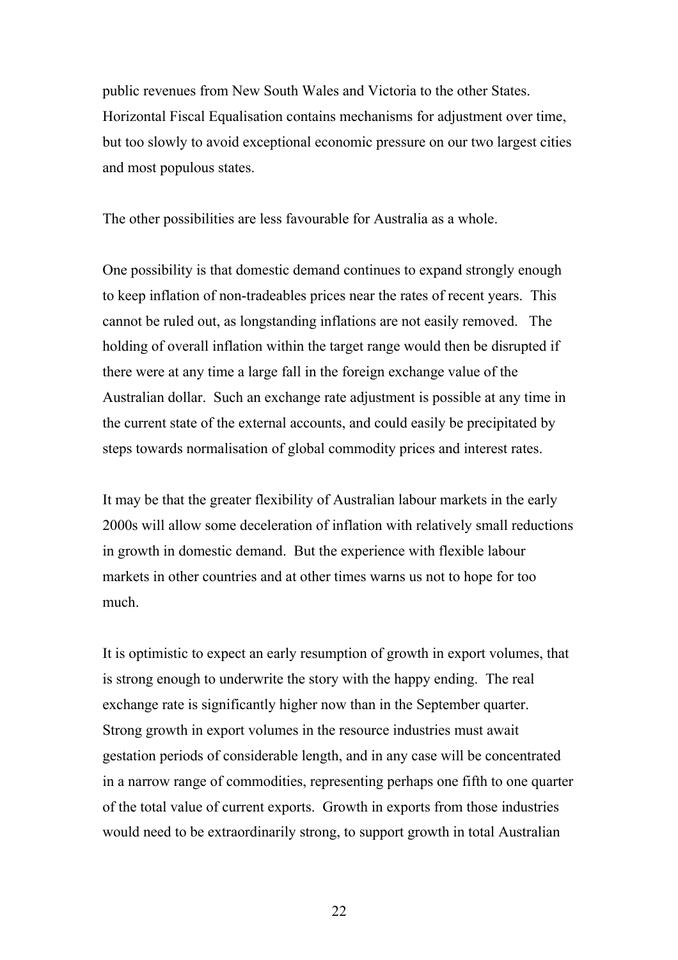public revenues from New South Wales and Victoria to the other States. Horizontal Fiscal Equalisation contains mechanisms for adjustment over time, but too slowly to avoid exceptional economic pressure on our two largest cities and most populous states.

The other possibilities are less favourable for Australia as a whole.

One possibility is that domestic demand continues to expand strongly enough to keep inflation of non-tradeables prices near the rates of recent years. This cannot be ruled out, as longstanding inflations are not easily removed. The holding of overall inflation within the target range would then be disrupted if there were at any time a large fall in the foreign exchange value of the Australian dollar. Such an exchange rate adjustment is possible at any time in the current state of the external accounts, and could easily be precipitated by steps towards normalisation of global commodity prices and interest rates.

It may be that the greater flexibility of Australian labour markets in the early 2000s will allow some deceleration of inflation with relatively small reductions in growth in domestic demand. But the experience with flexible labour markets in other countries and at other times warns us not to hope for too much.

It is optimistic to expect an early resumption of growth in export volumes, that is strong enough to underwrite the story with the happy ending. The real exchange rate is significantly higher now than in the September quarter. Strong growth in export volumes in the resource industries must await gestation periods of considerable length, and in any case will be concentrated in a narrow range of commodities, representing perhaps one fifth to one quarter of the total value of current exports. Growth in exports from those industries would need to be extraordinarily strong, to support growth in total Australian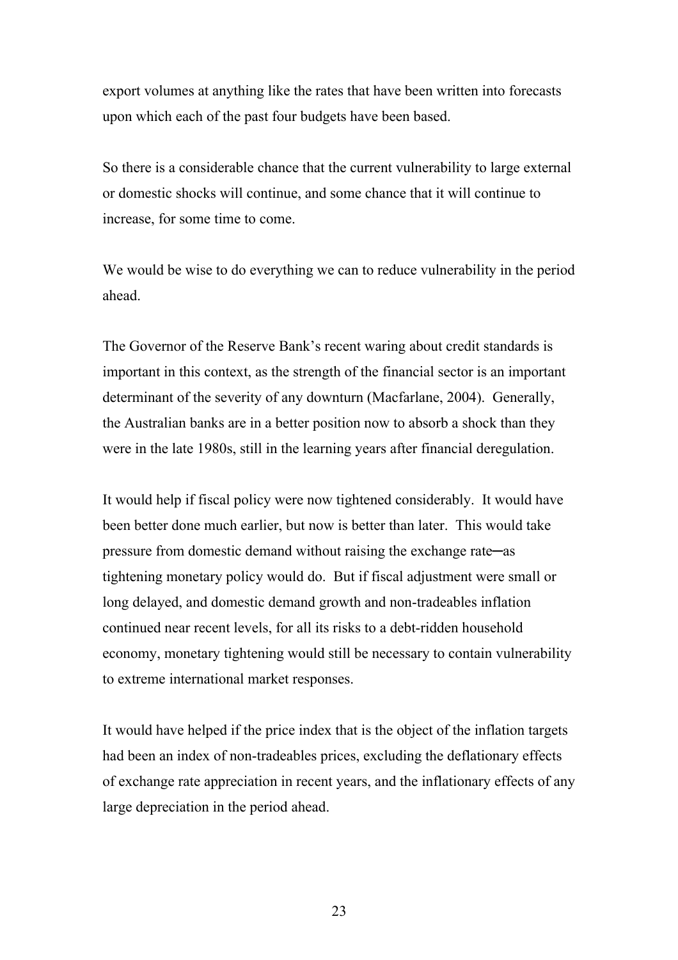export volumes at anything like the rates that have been written into forecasts upon which each of the past four budgets have been based.

So there is a considerable chance that the current vulnerability to large external or domestic shocks will continue, and some chance that it will continue to increase, for some time to come.

We would be wise to do everything we can to reduce vulnerability in the period ahead.

The Governor of the Reserve Bank's recent waring about credit standards is important in this context, as the strength of the financial sector is an important determinant of the severity of any downturn (Macfarlane, 2004). Generally, the Australian banks are in a better position now to absorb a shock than they were in the late 1980s, still in the learning years after financial deregulation.

It would help if fiscal policy were now tightened considerably. It would have been better done much earlier, but now is better than later. This would take pressure from domestic demand without raising the exchange rate─as tightening monetary policy would do. But if fiscal adjustment were small or long delayed, and domestic demand growth and non-tradeables inflation continued near recent levels, for all its risks to a debt-ridden household economy, monetary tightening would still be necessary to contain vulnerability to extreme international market responses.

It would have helped if the price index that is the object of the inflation targets had been an index of non-tradeables prices, excluding the deflationary effects of exchange rate appreciation in recent years, and the inflationary effects of any large depreciation in the period ahead.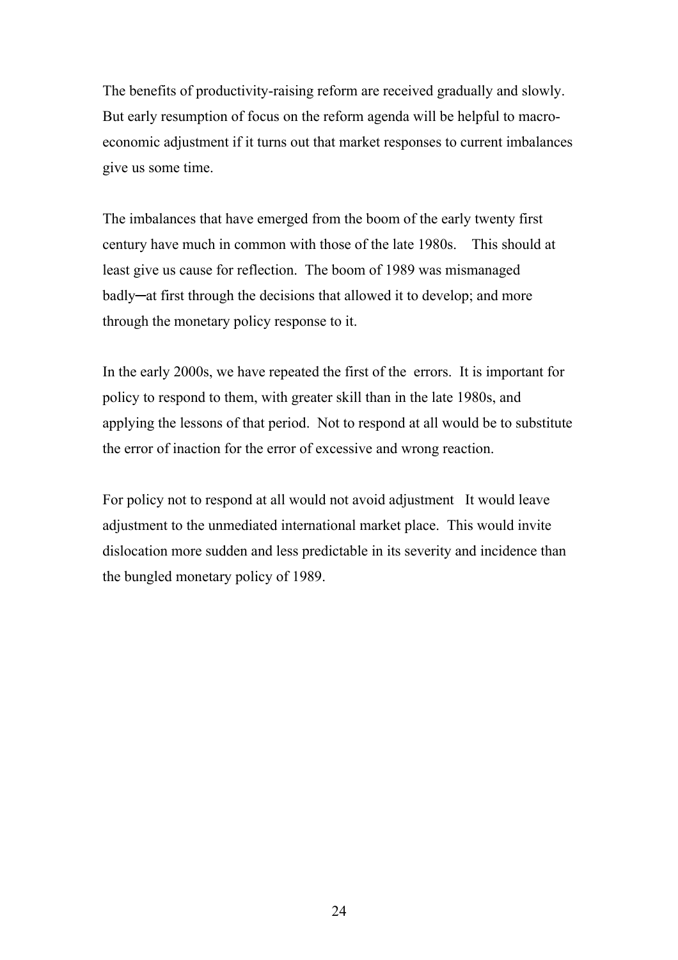The benefits of productivity-raising reform are received gradually and slowly. But early resumption of focus on the reform agenda will be helpful to macroeconomic adjustment if it turns out that market responses to current imbalances give us some time.

The imbalances that have emerged from the boom of the early twenty first century have much in common with those of the late 1980s. This should at least give us cause for reflection. The boom of 1989 was mismanaged badly─at first through the decisions that allowed it to develop; and more through the monetary policy response to it.

In the early 2000s, we have repeated the first of the errors. It is important for policy to respond to them, with greater skill than in the late 1980s, and applying the lessons of that period. Not to respond at all would be to substitute the error of inaction for the error of excessive and wrong reaction.

For policy not to respond at all would not avoid adjustment It would leave adjustment to the unmediated international market place. This would invite dislocation more sudden and less predictable in its severity and incidence than the bungled monetary policy of 1989.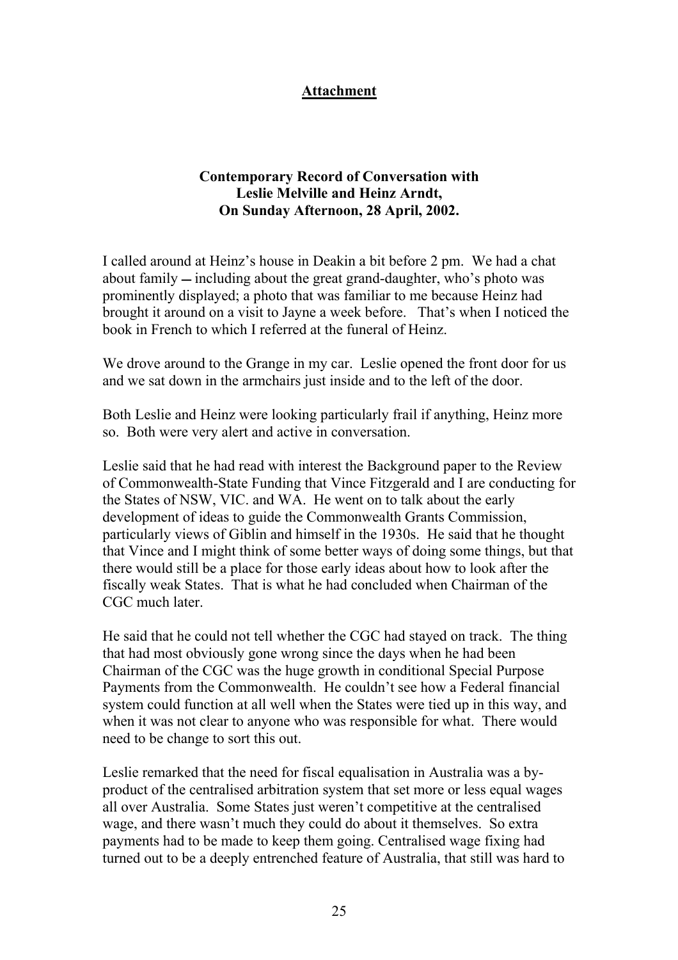### **Attachment**

### **Contemporary Record of Conversation with Leslie Melville and Heinz Arndt, On Sunday Afternoon, 28 April, 2002.**

I called around at Heinz's house in Deakin a bit before 2 pm. We had a chat about family  $-$  including about the great grand-daughter, who's photo was prominently displayed; a photo that was familiar to me because Heinz had brought it around on a visit to Jayne a week before. That's when I noticed the book in French to which I referred at the funeral of Heinz.

We drove around to the Grange in my car. Leslie opened the front door for us and we sat down in the armchairs just inside and to the left of the door.

Both Leslie and Heinz were looking particularly frail if anything, Heinz more so. Both were very alert and active in conversation.

Leslie said that he had read with interest the Background paper to the Review of Commonwealth-State Funding that Vince Fitzgerald and I are conducting for the States of NSW, VIC. and WA. He went on to talk about the early development of ideas to guide the Commonwealth Grants Commission, particularly views of Giblin and himself in the 1930s. He said that he thought that Vince and I might think of some better ways of doing some things, but that there would still be a place for those early ideas about how to look after the fiscally weak States. That is what he had concluded when Chairman of the CGC much later.

He said that he could not tell whether the CGC had stayed on track. The thing that had most obviously gone wrong since the days when he had been Chairman of the CGC was the huge growth in conditional Special Purpose Payments from the Commonwealth. He couldn't see how a Federal financial system could function at all well when the States were tied up in this way, and when it was not clear to anyone who was responsible for what. There would need to be change to sort this out.

Leslie remarked that the need for fiscal equalisation in Australia was a byproduct of the centralised arbitration system that set more or less equal wages all over Australia. Some States just weren't competitive at the centralised wage, and there wasn't much they could do about it themselves. So extra payments had to be made to keep them going. Centralised wage fixing had turned out to be a deeply entrenched feature of Australia, that still was hard to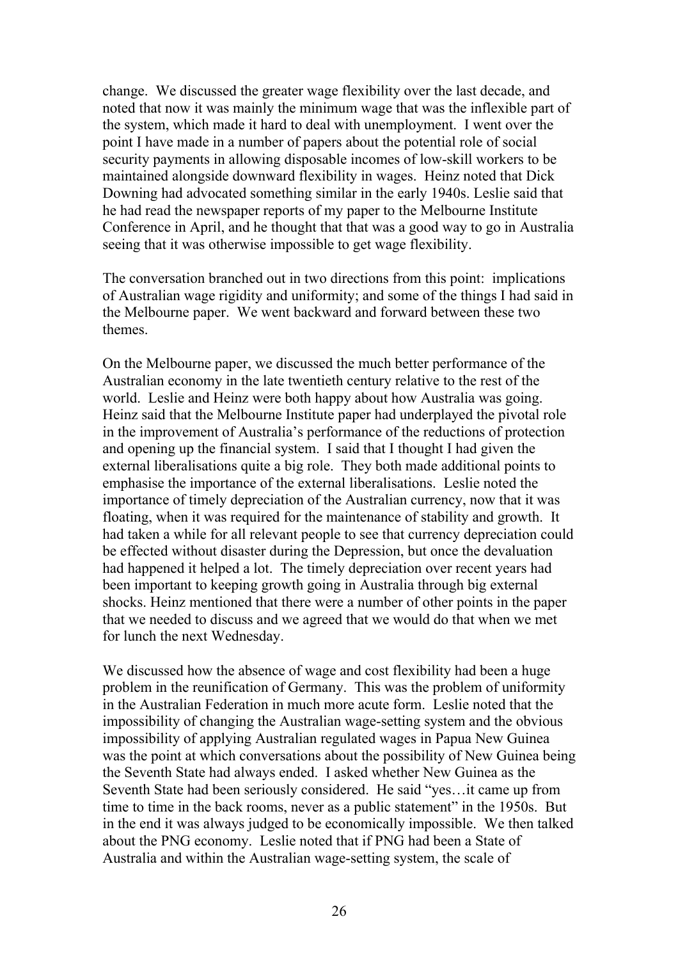change. We discussed the greater wage flexibility over the last decade, and noted that now it was mainly the minimum wage that was the inflexible part of the system, which made it hard to deal with unemployment. I went over the point I have made in a number of papers about the potential role of social security payments in allowing disposable incomes of low-skill workers to be maintained alongside downward flexibility in wages. Heinz noted that Dick Downing had advocated something similar in the early 1940s. Leslie said that he had read the newspaper reports of my paper to the Melbourne Institute Conference in April, and he thought that that was a good way to go in Australia seeing that it was otherwise impossible to get wage flexibility.

The conversation branched out in two directions from this point: implications of Australian wage rigidity and uniformity; and some of the things I had said in the Melbourne paper. We went backward and forward between these two themes.

On the Melbourne paper, we discussed the much better performance of the Australian economy in the late twentieth century relative to the rest of the world. Leslie and Heinz were both happy about how Australia was going. Heinz said that the Melbourne Institute paper had underplayed the pivotal role in the improvement of Australia's performance of the reductions of protection and opening up the financial system. I said that I thought I had given the external liberalisations quite a big role. They both made additional points to emphasise the importance of the external liberalisations. Leslie noted the importance of timely depreciation of the Australian currency, now that it was floating, when it was required for the maintenance of stability and growth. It had taken a while for all relevant people to see that currency depreciation could be effected without disaster during the Depression, but once the devaluation had happened it helped a lot. The timely depreciation over recent years had been important to keeping growth going in Australia through big external shocks. Heinz mentioned that there were a number of other points in the paper that we needed to discuss and we agreed that we would do that when we met for lunch the next Wednesday.

We discussed how the absence of wage and cost flexibility had been a huge problem in the reunification of Germany. This was the problem of uniformity in the Australian Federation in much more acute form. Leslie noted that the impossibility of changing the Australian wage-setting system and the obvious impossibility of applying Australian regulated wages in Papua New Guinea was the point at which conversations about the possibility of New Guinea being the Seventh State had always ended. I asked whether New Guinea as the Seventh State had been seriously considered. He said "yes…it came up from time to time in the back rooms, never as a public statement" in the 1950s. But in the end it was always judged to be economically impossible. We then talked about the PNG economy. Leslie noted that if PNG had been a State of Australia and within the Australian wage-setting system, the scale of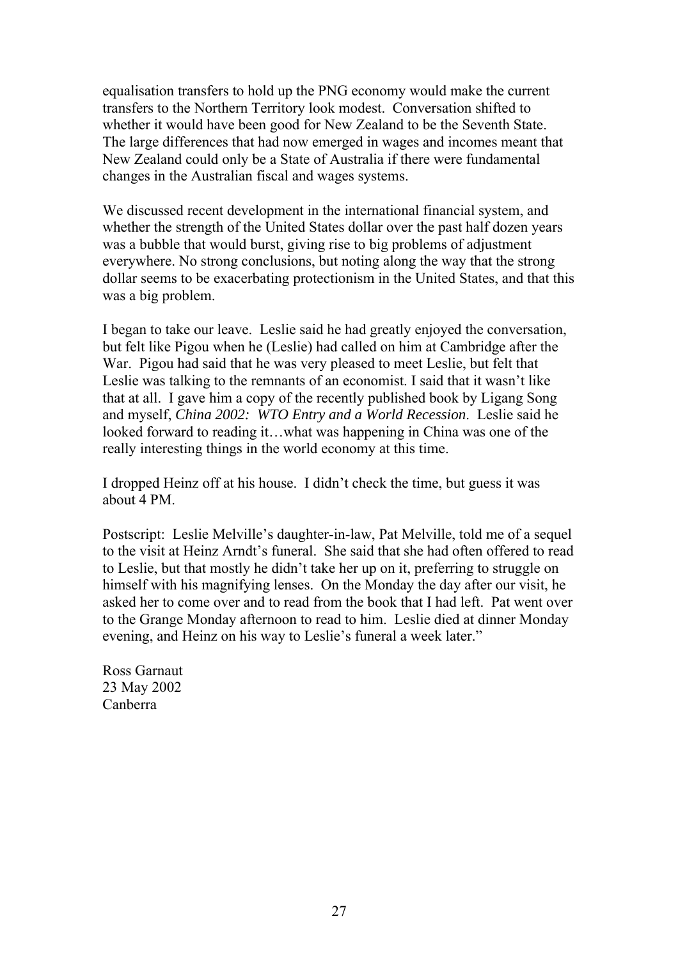equalisation transfers to hold up the PNG economy would make the current transfers to the Northern Territory look modest. Conversation shifted to whether it would have been good for New Zealand to be the Seventh State. The large differences that had now emerged in wages and incomes meant that New Zealand could only be a State of Australia if there were fundamental changes in the Australian fiscal and wages systems.

We discussed recent development in the international financial system, and whether the strength of the United States dollar over the past half dozen years was a bubble that would burst, giving rise to big problems of adjustment everywhere. No strong conclusions, but noting along the way that the strong dollar seems to be exacerbating protectionism in the United States, and that this was a big problem.

I began to take our leave. Leslie said he had greatly enjoyed the conversation, but felt like Pigou when he (Leslie) had called on him at Cambridge after the War. Pigou had said that he was very pleased to meet Leslie, but felt that Leslie was talking to the remnants of an economist. I said that it wasn't like that at all. I gave him a copy of the recently published book by Ligang Song and myself, *China 2002: WTO Entry and a World Recession*. Leslie said he looked forward to reading it…what was happening in China was one of the really interesting things in the world economy at this time.

I dropped Heinz off at his house. I didn't check the time, but guess it was about 4 PM.

Postscript: Leslie Melville's daughter-in-law, Pat Melville, told me of a sequel to the visit at Heinz Arndt's funeral. She said that she had often offered to read to Leslie, but that mostly he didn't take her up on it, preferring to struggle on himself with his magnifying lenses. On the Monday the day after our visit, he asked her to come over and to read from the book that I had left. Pat went over to the Grange Monday afternoon to read to him. Leslie died at dinner Monday evening, and Heinz on his way to Leslie's funeral a week later."

Ross Garnaut 23 May 2002 Canberra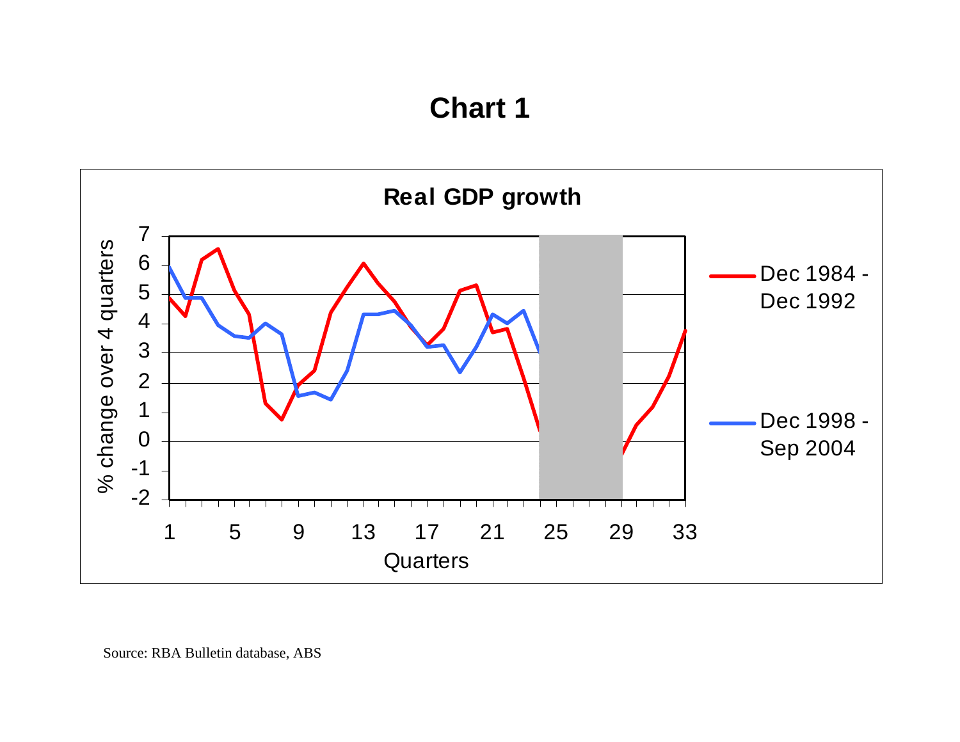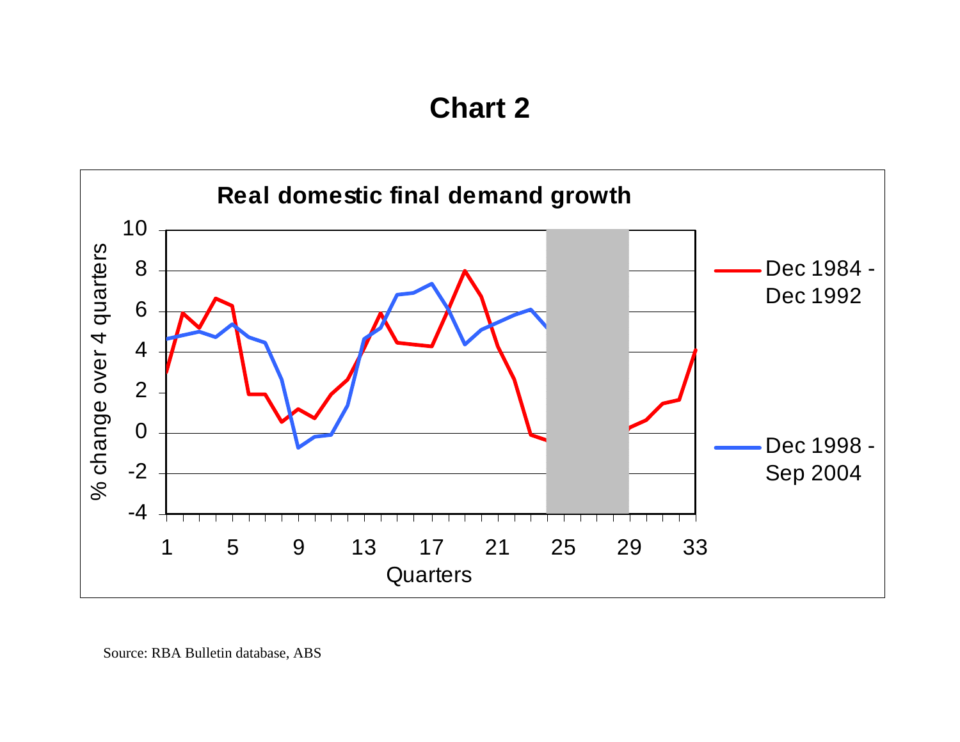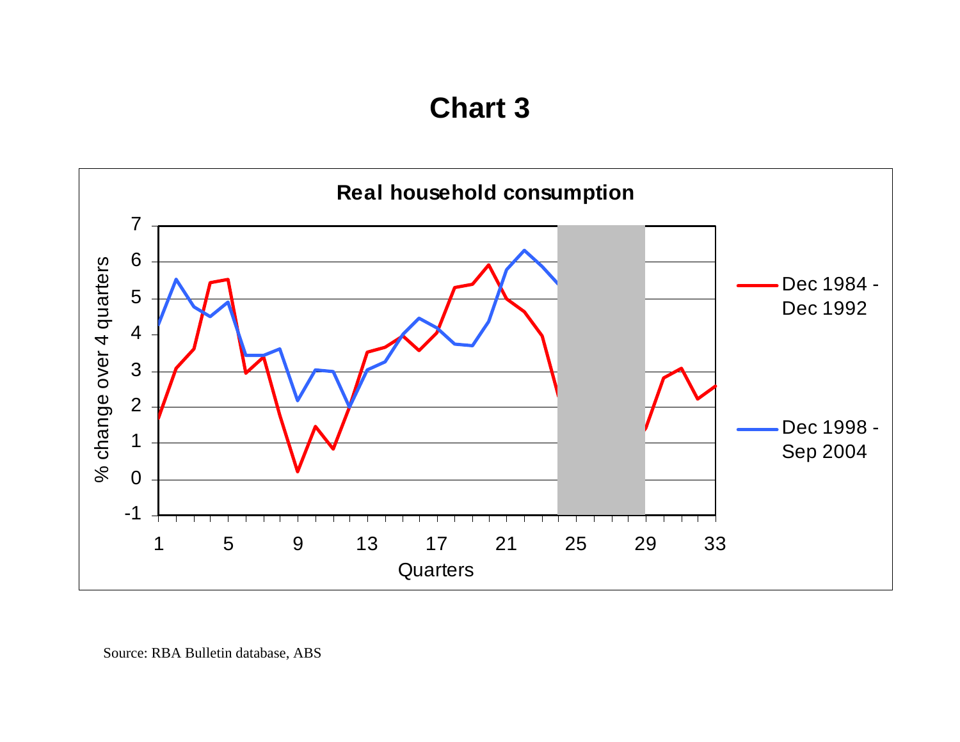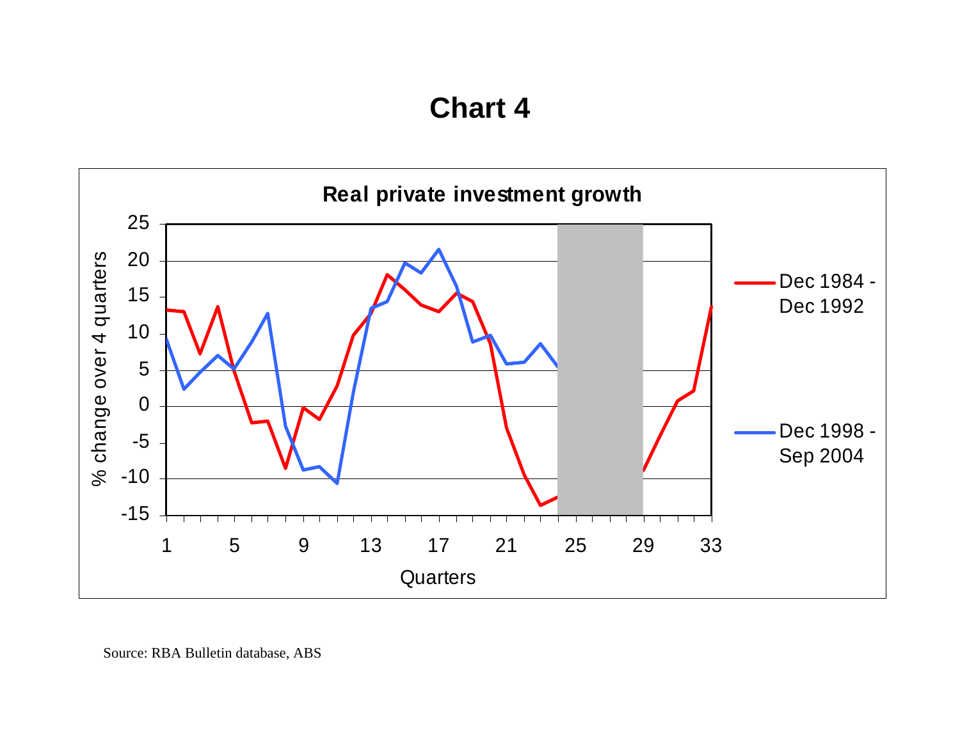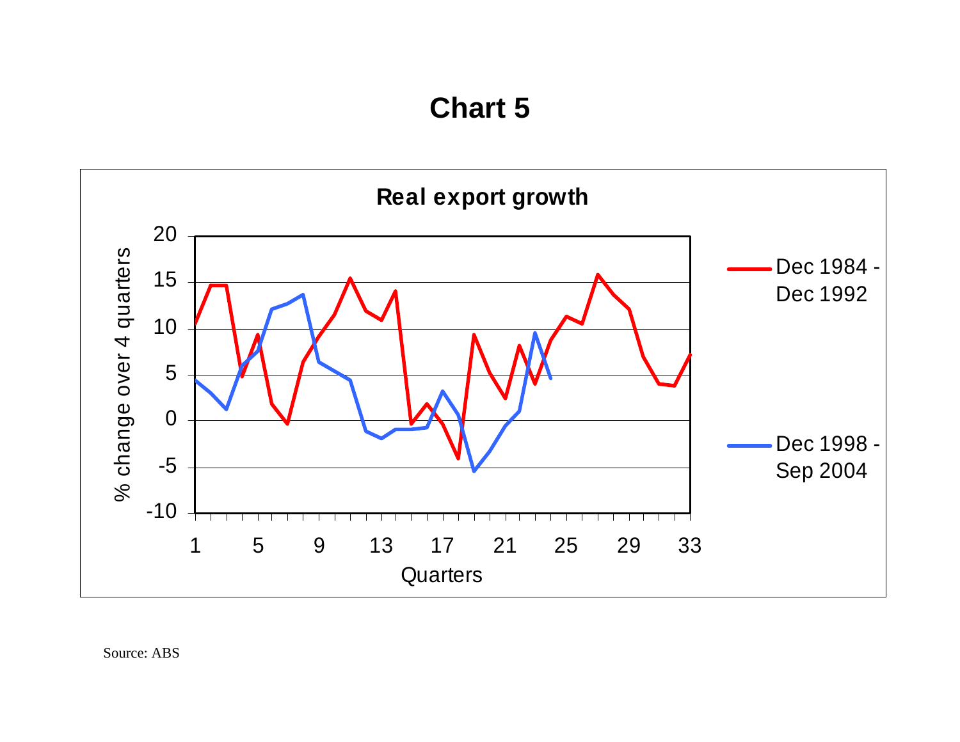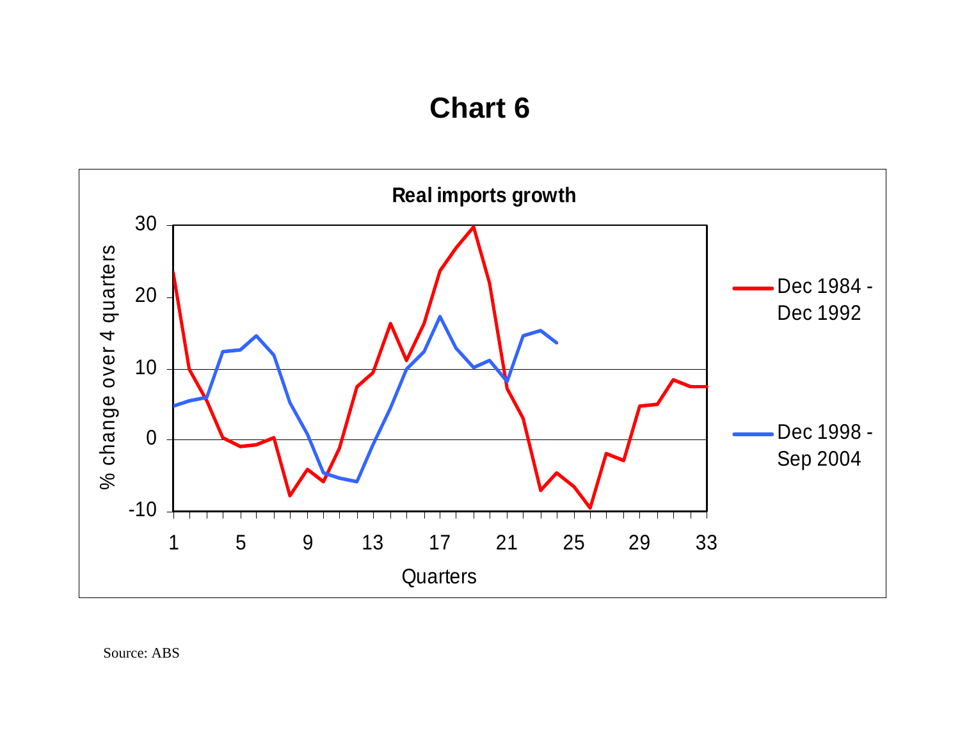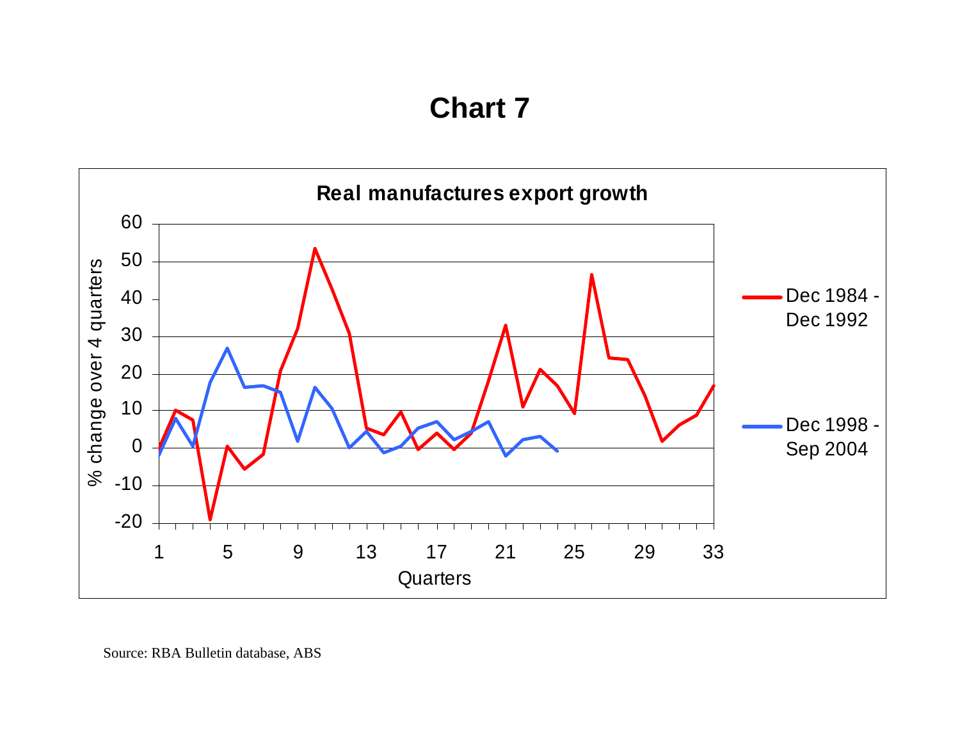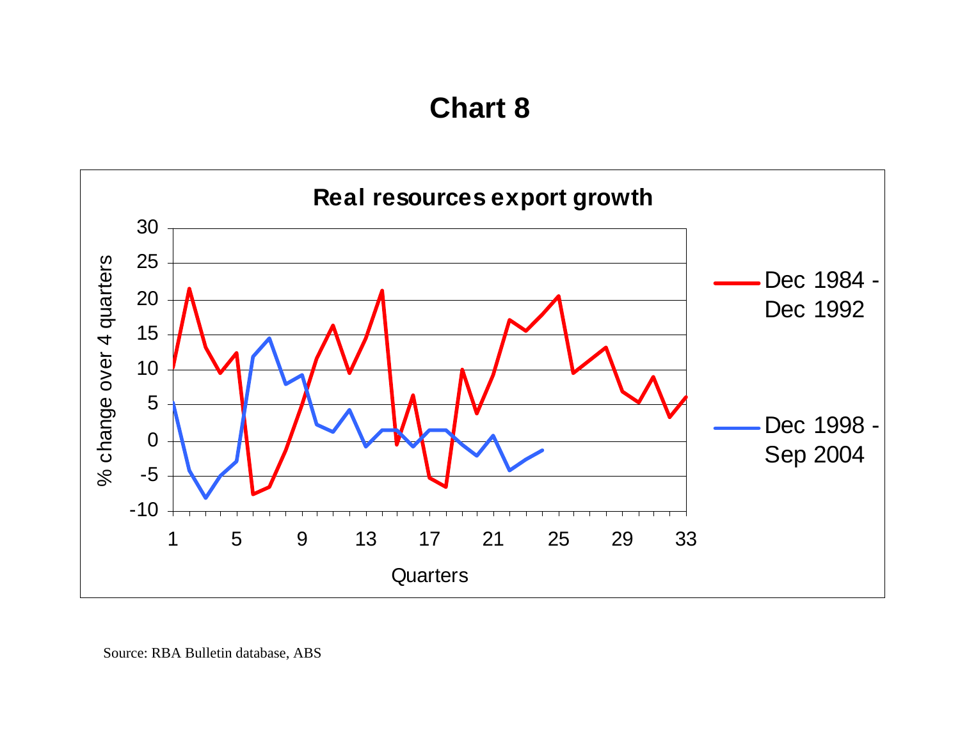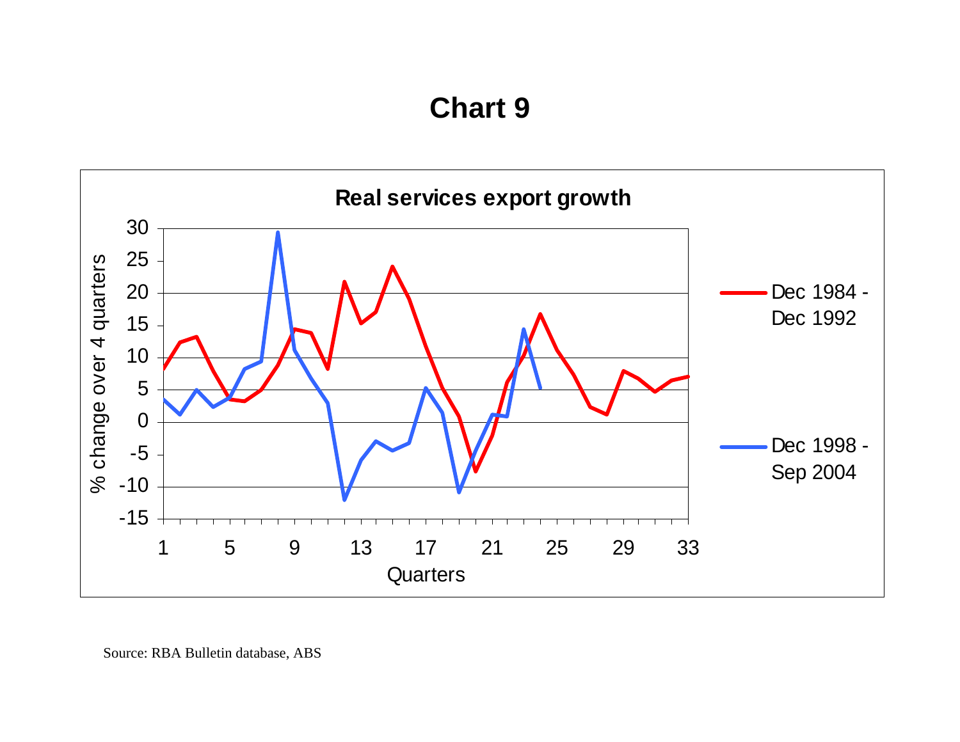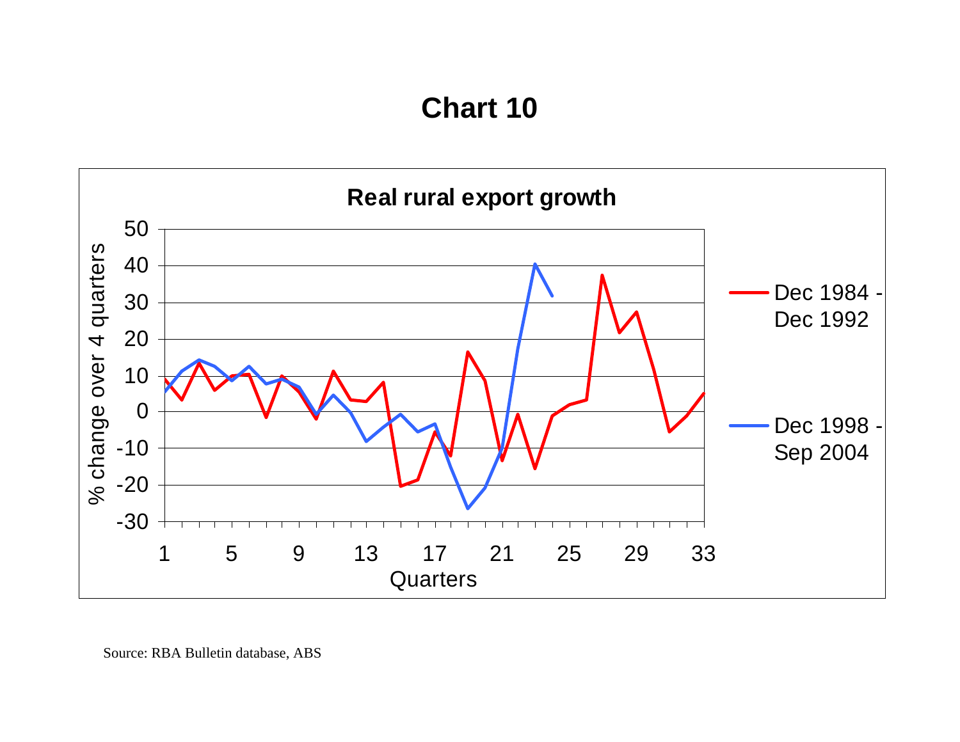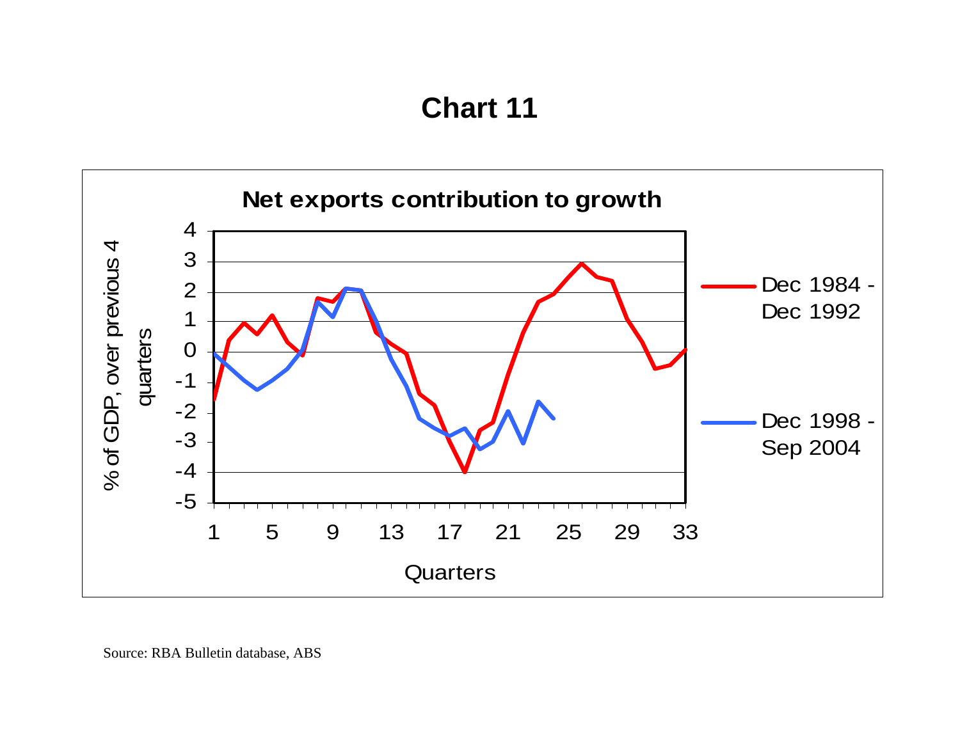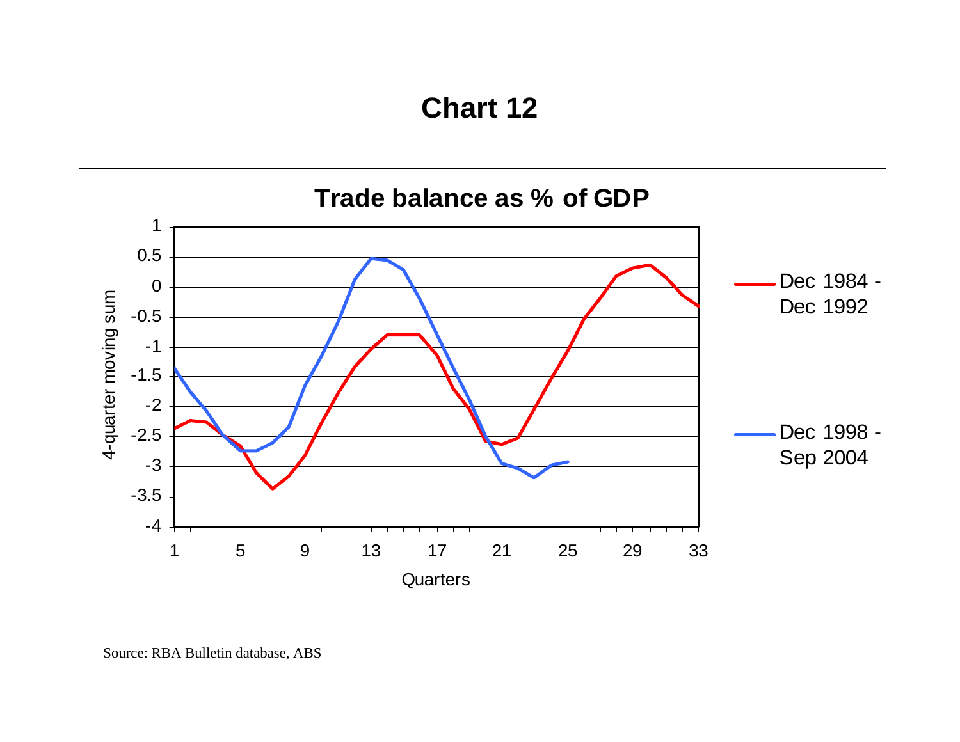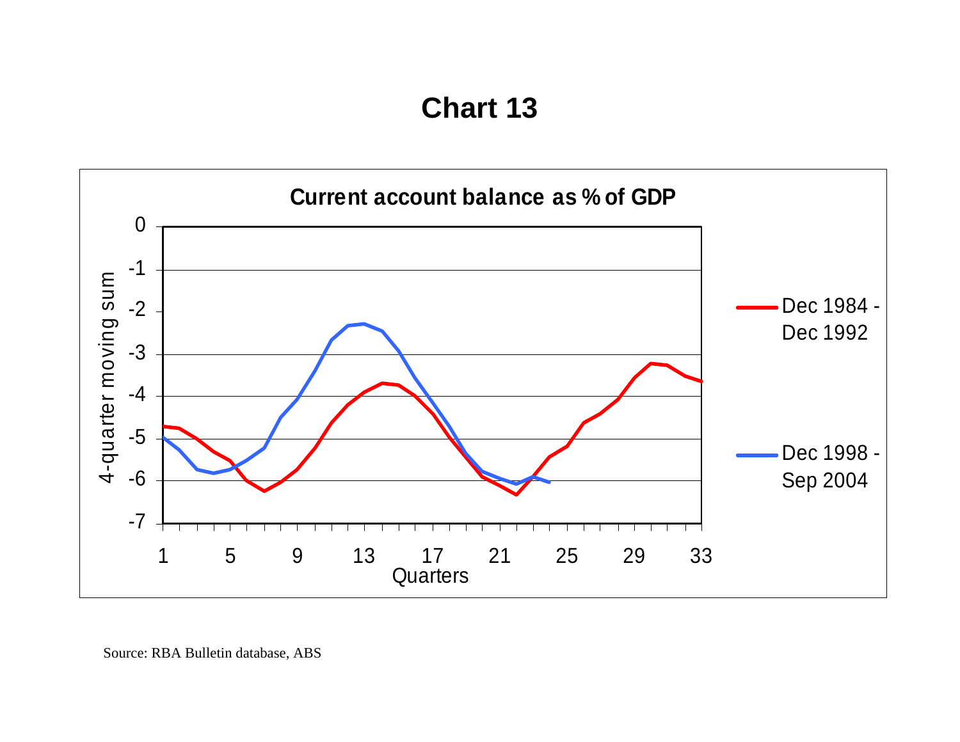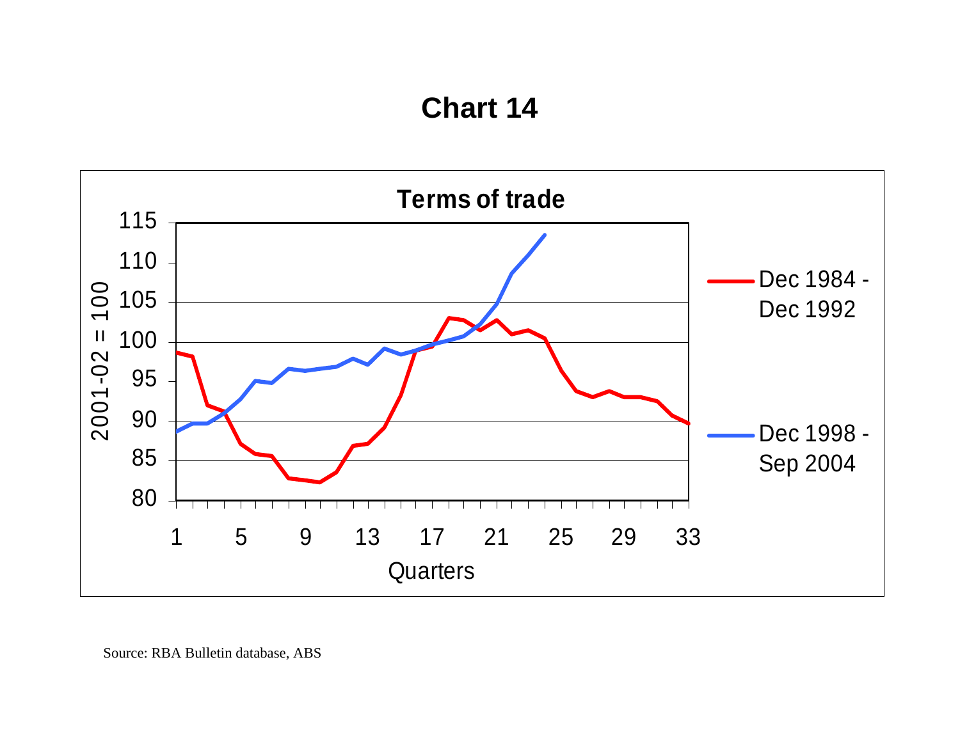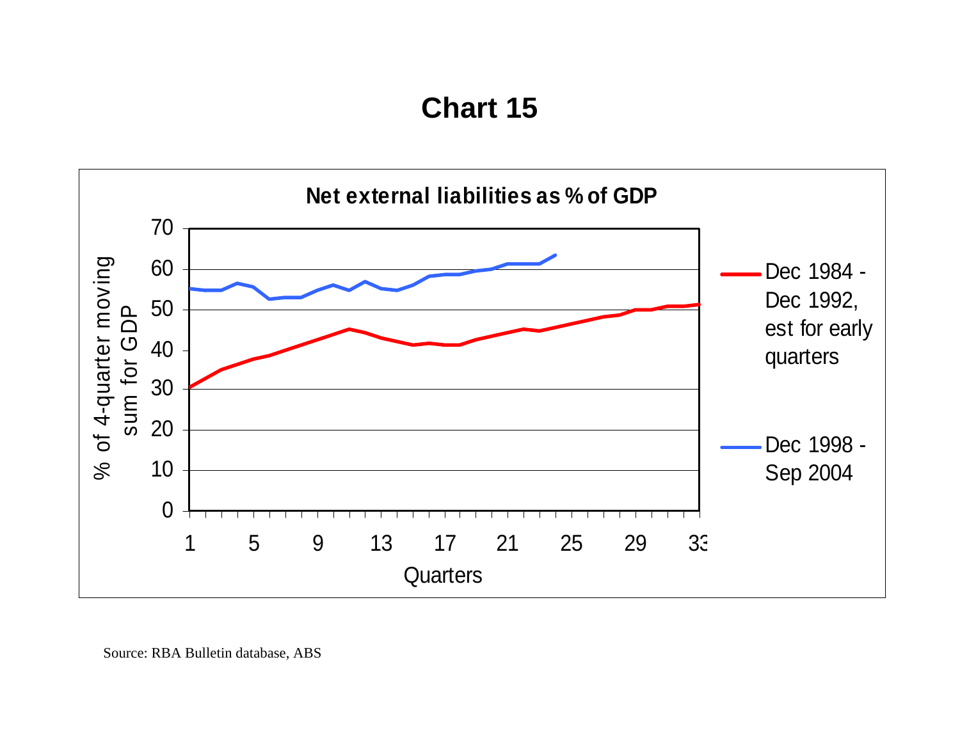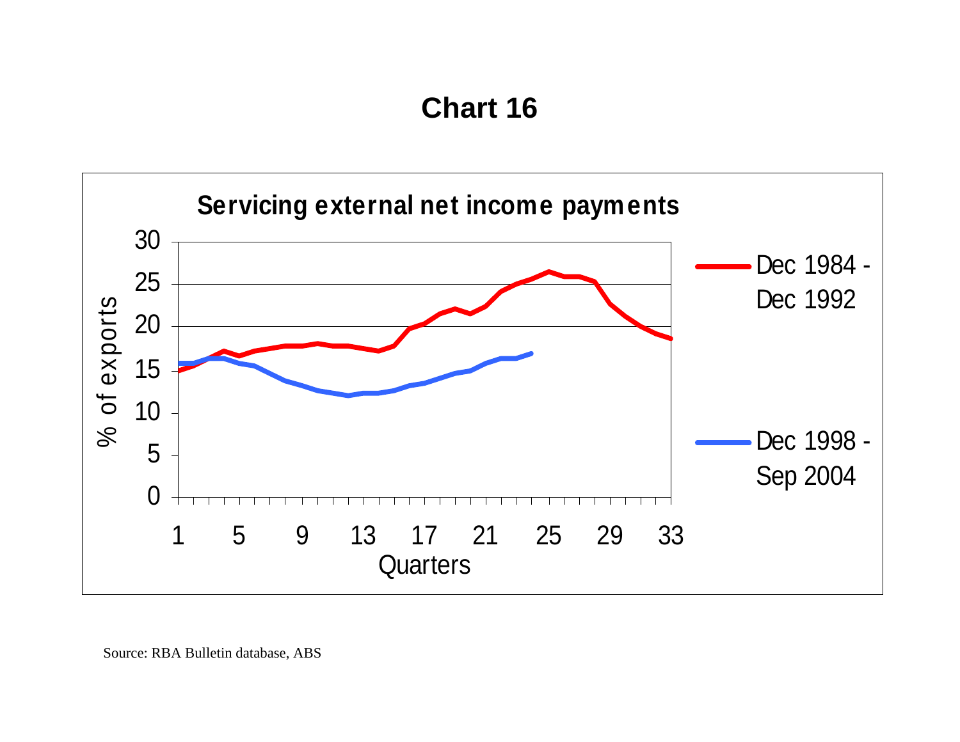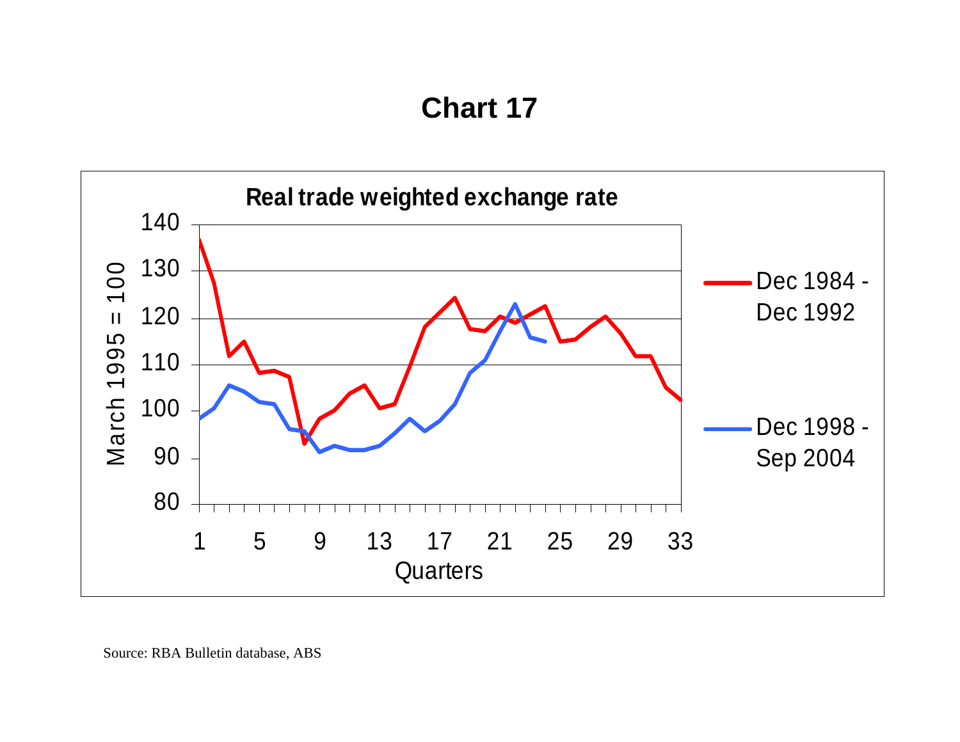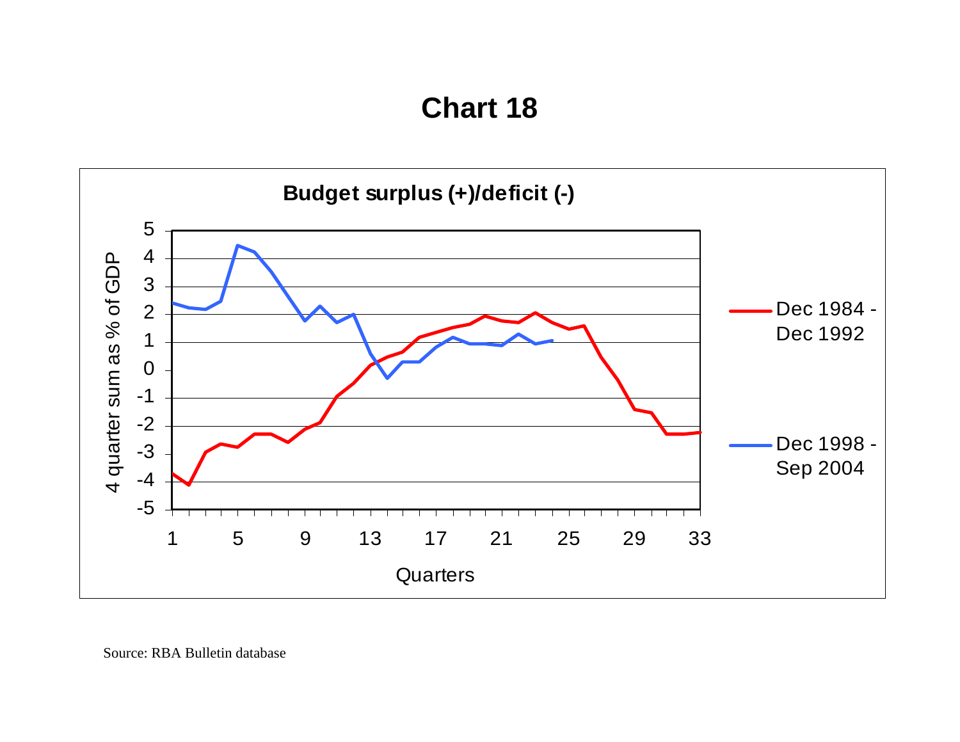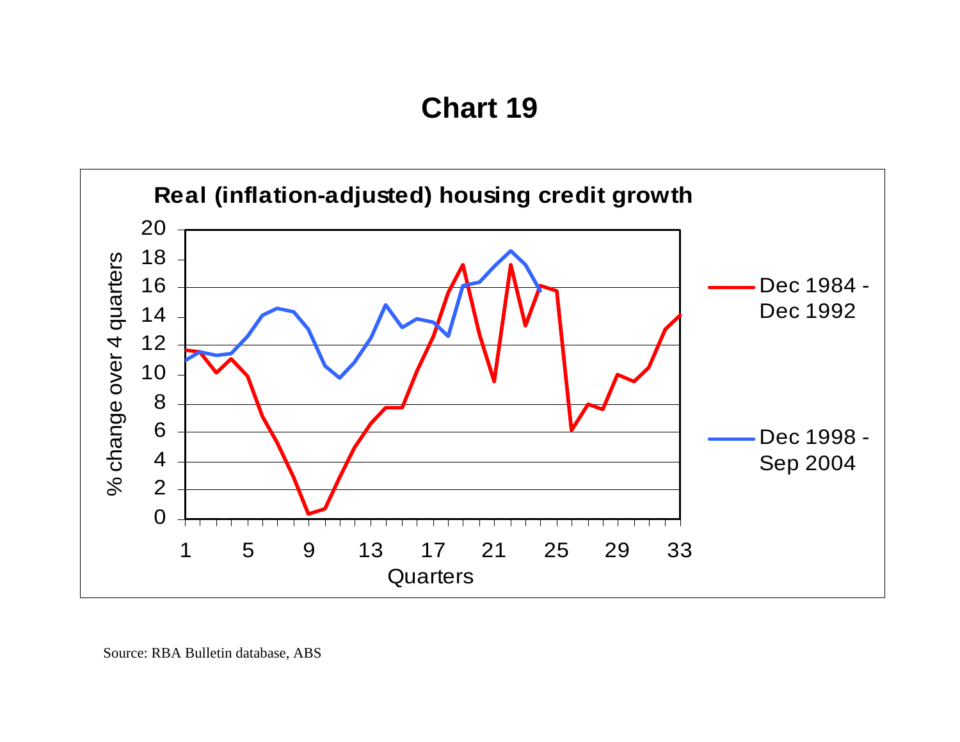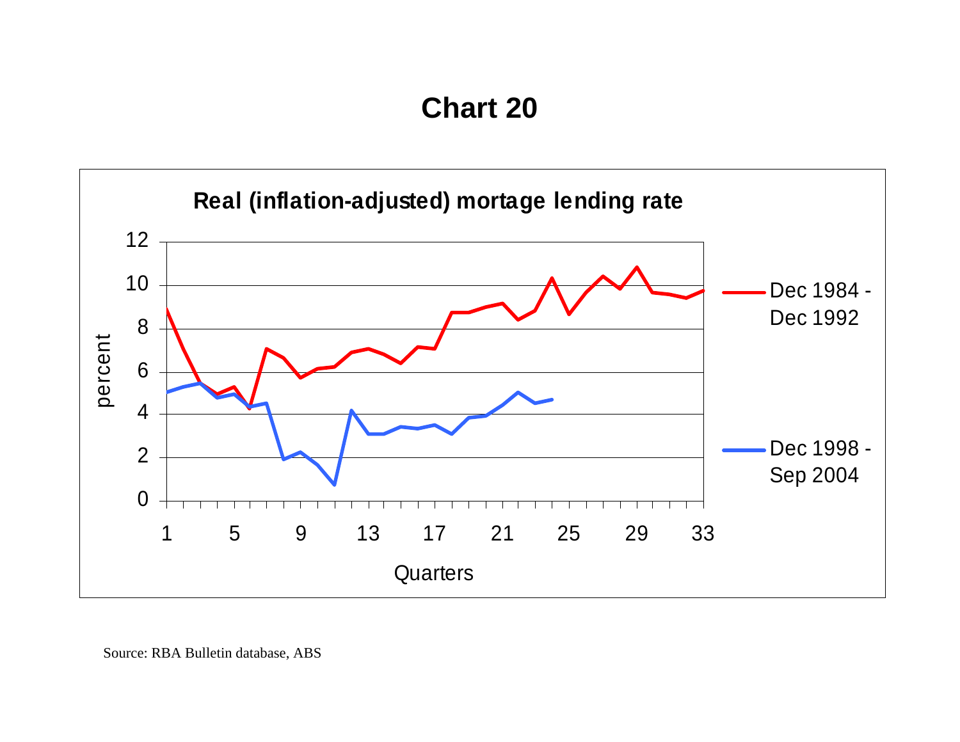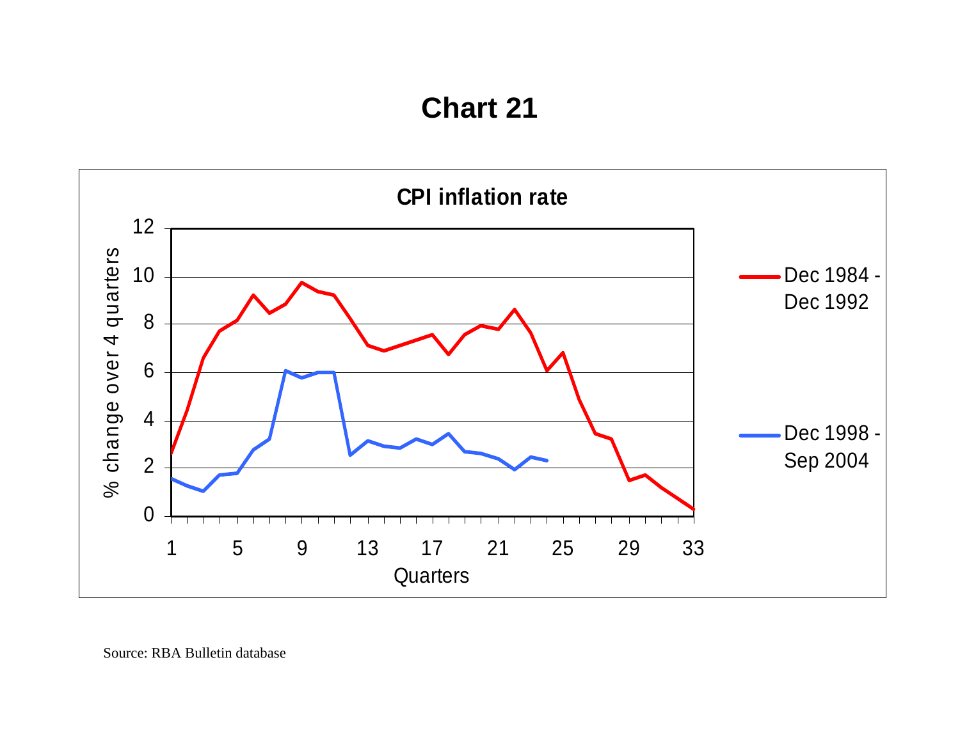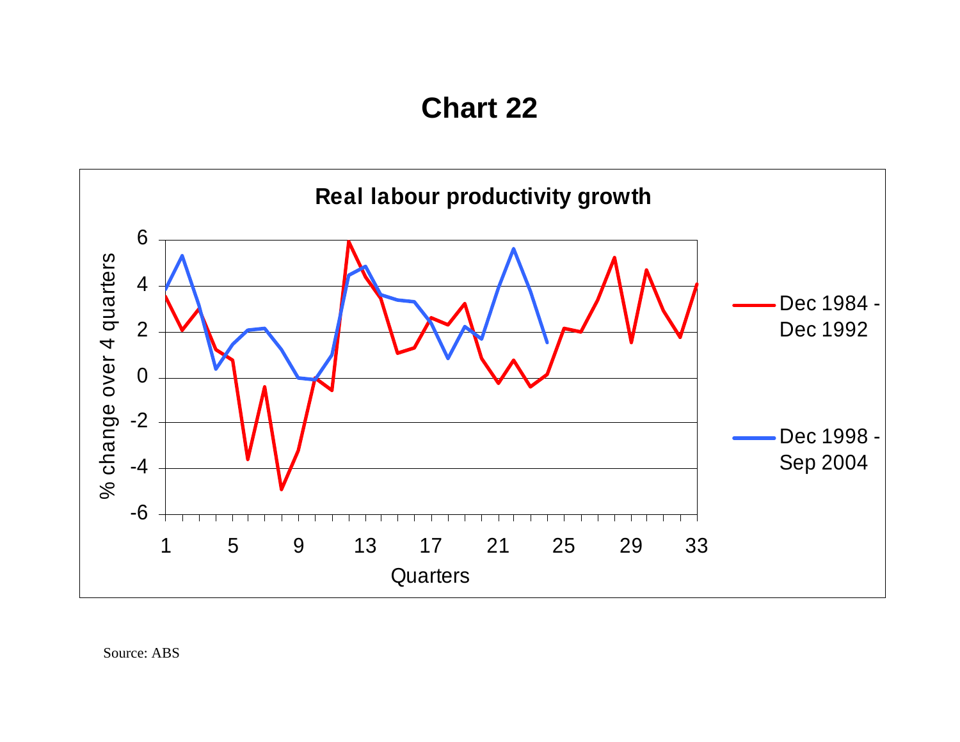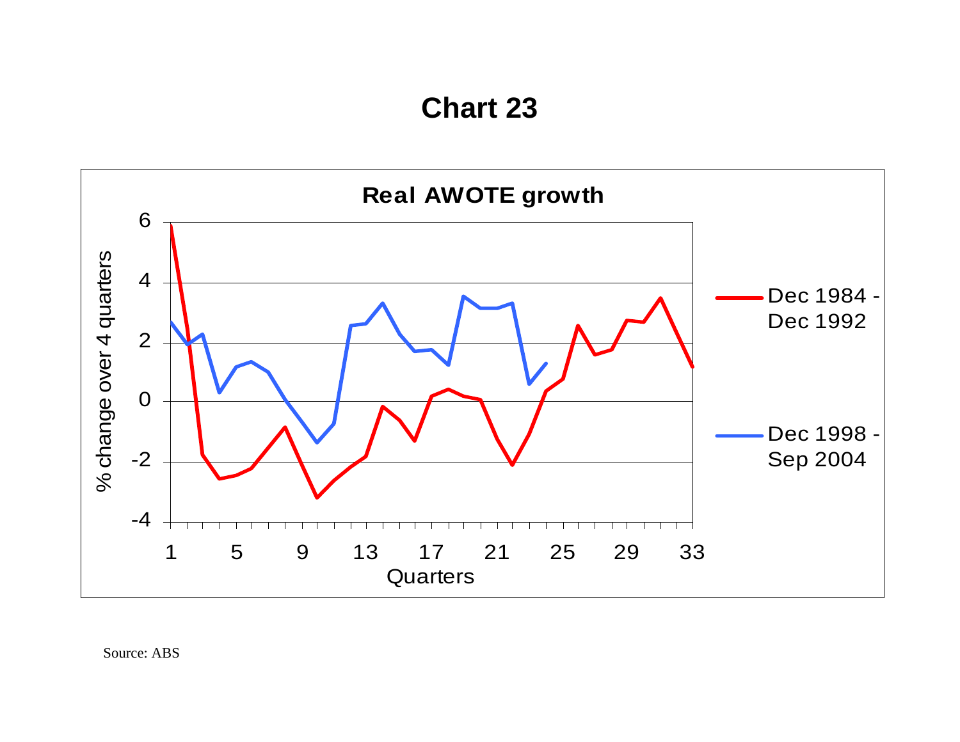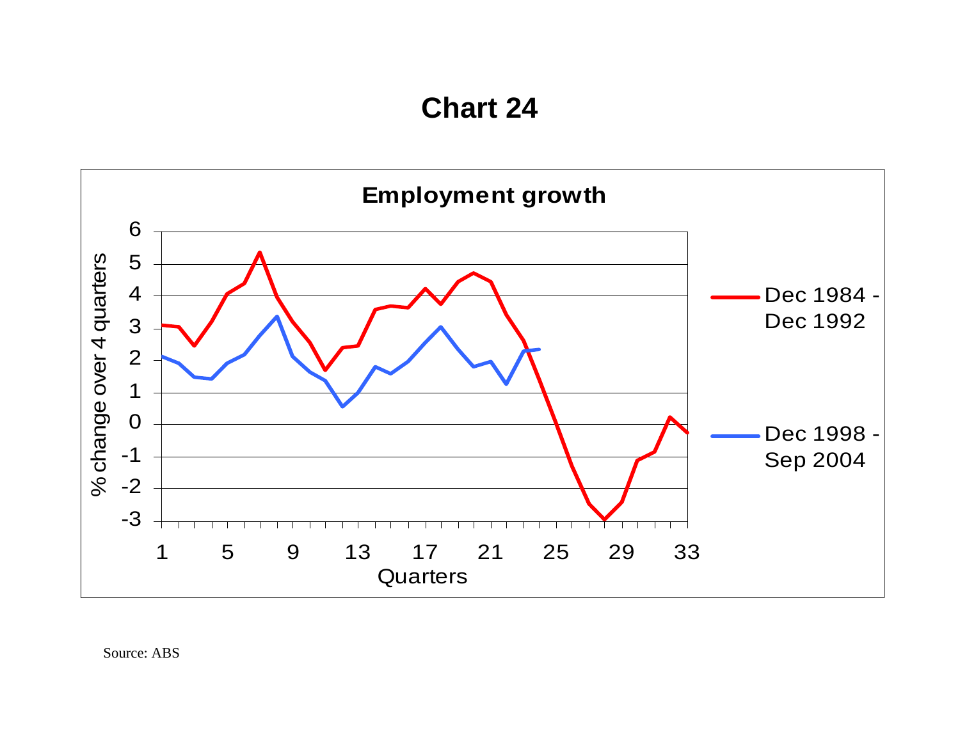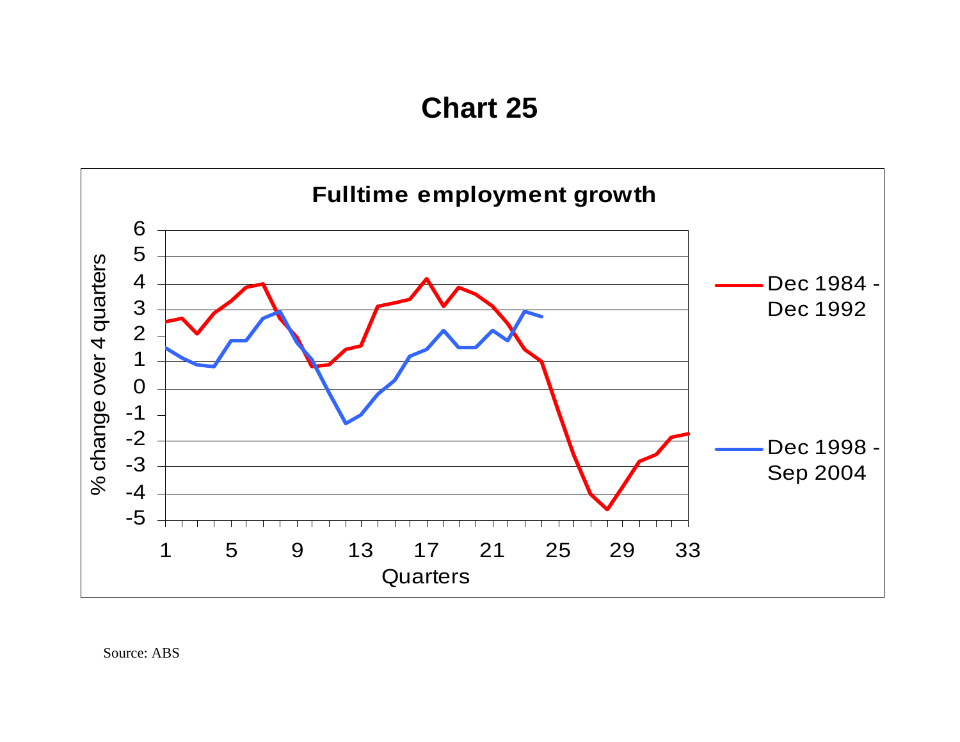